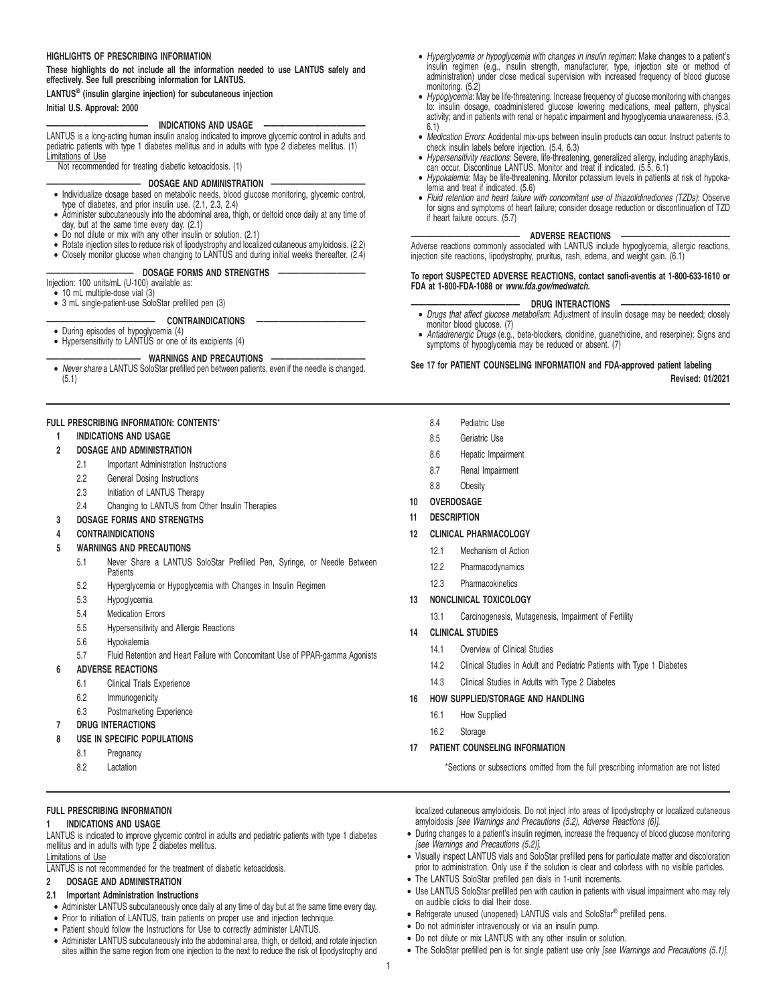## **HIGHLIGHTS OF PRESCRIBING INFORMATION**

**These highlights do not include all the information needed to use LANTUS safely and effectively. See full prescribing information for LANTUS.**

## **LANTUS® (insulin glargine injection) for subcutaneous injection Initial U.S. Approval: 2000**

## **—————————————— INDICATIONS AND USAGE ——————————————**

LANTUS is a long-acting human insulin analog indicated to improve glycemic control in adults and pediatric patients with type 1 diabetes mellitus and in adults with type 2 diabetes mellitus. (1) Limitations of Use

Not recommended for treating diabetic ketoacidosis. (1)

## **————————————— DOSAGE AND ADMINISTRATION —————————————**

- Individualize dosage based on metabolic needs, blood glucose monitoring, glycemic control, type of diabetes, and prior insulin use. (2.1, 2.3, 2.4)
- Administer subcutaneously into the abdominal area, thigh, or deltoid once daily at any time of
- day, but at the same time every day. (2.1) Do not dilute or mix with any other insulin or solution. (2.1)
- Rotate injection sites to reduce risk of lipodystrophy and localized cutaneous amyloidosis. (2.2)
- Closely monitor glucose when changing to LANTUS and during initial weeks thereafter. (2.4)

# DOSAGE FORMS AND STRENGTHS

- Injection: 100 units/mL (U-100) available as: 10 mL multiple-dose vial (3)
- 3 mL single-patient-use SoloStar prefilled pen (3)

## CONTRAINDICATIONS

- During episodes of hypoglycemia (4)
- Hypersensitivity to LANTUS or one of its excipients (4)

## **WARNINGS AND PRECAUTIONS —**

• Never share a LANTUS SoloStar prefilled pen between patients, even if the needle is changed. (5.1)

## **FULL PRESCRIBING INFORMATION: CONTENTS**\*

**1 INDICATIONS AND USAGE**

## **2 DOSAGE AND ADMINISTRATION**

- 2.1 Important Administration Instructions
- 2.2 General Dosing Instructions
- 2.3 Initiation of LANTUS Therapy
- 2.4 Changing to LANTUS from Other Insulin Therapies
- **3 DOSAGE FORMS AND STRENGTHS**

## **4 CONTRAINDICATIONS**

## **5 WARNINGS AND PRECAUTIONS**

- 5.1 Never Share a LANTUS SoloStar Prefilled Pen, Syringe, or Needle Between **Patients**
- 5.2 Hyperglycemia or Hypoglycemia with Changes in Insulin Regimen
- 5.3 Hypoglycemia
- 5.4 Medication Errors
- 5.5 Hypersensitivity and Allergic Reactions
- 5.6 Hypokalemia
- 5.7 Fluid Retention and Heart Failure with Concomitant Use of PPAR-gamma Agonists

## **6 ADVERSE REACTIONS**

- 6.1 Clinical Trials Experience
- 6.2 Immunogenicity
- 6.3 Postmarketing Experience
- **7 DRUG INTERACTIONS**
- **8 USE IN SPECIFIC POPULATIONS**
	- 8.1 Pregnancy
	- 8.2 Lactation

# **FULL PRESCRIBING INFORMATION**

## **1 INDICATIONS AND USAGE**

LANTUS is indicated to improve glycemic control in adults and pediatric patients with type 1 diabetes mellitus and in adults with type 2 diabetes mellitus.

## Limitations of Use

LANTUS is not recommended for the treatment of diabetic ketoacidosis.

## **2 DOSAGE AND ADMINISTRATION**

## **2.1 Important Administration Instructions**

- Administer LANTUS subcutaneously once daily at any time of day but at the same time every day.
- Prior to initiation of LANTUS, train patients on proper use and injection technique.
- Patient should follow the Instructions for Use to correctly administer LANTUS.
- Administer LANTUS subcutaneously into the abdominal area, thigh, or deltoid, and rotate injection sites within the same region from one injection to the next to reduce the risk of lipodystrophy and
- Hyperglycemia or hypoglycemia with changes in insulin regimen: Make changes to a patient's insulin regimen (e.g., insulin strength, manufacturer, type, injection site or method of administration) under close medical supervision with increased frequency of blood glucose monitoring. (5.2)
- Hypoglycemia: May be life-threatening. Increase frequency of glucose monitoring with changes to: insulin dosage, coadministered glucose lowering medications, meal pattern, physical activity; and in patients with renal or hepatic impairment and hypoglycemia unawareness. (5.3,
- 6.1) Medication Errors: Accidental mix-ups between insulin products can occur. Instruct patients to check insulin labels before injection. (5.4, 6.3)
- Hypersensitivity reactions: Severe, life-threatening, generalized allergy, including anaphylaxis, can occur. Discontinue LANTUS. Monitor and treat if indicated. (5.5, 6.1)
- Hypokalemia: May be life-threatening. Monitor potassium levels in patients at risk of hypokalemia and treat if indicated. (5.6)
- Fluid retention and heart failure with concomitant use of thiazolidinediones (TZDs): Observe for signs and symptoms of heart failure; consider dosage reduction or discontinuation of TZD if heart failure occurs. (5.7)

## **——————————————— ADVERSE REACTIONS ———————————————**

Adverse reactions commonly associated with LANTUS include hypoglycemia, allergic reactions, injection site reactions, lipodystrophy, pruritus, rash, edema, and weight gain. (6.1)

## **To report SUSPECTED ADVERSE REACTIONS, contact sanofi-aventis at 1-800-633-1610 or FDA at 1-800-FDA-1088 or www.fda.gov/medwatch.**

## DRUG INTERACTIONS

- Drugs that affect glucose metabolism: Adjustment of insulin dosage may be needed; closely monitor blood glucose. (7)
- Antiadrenergic Drugs (e.g., beta-blockers, clonidine, guanethidine, and reserpine): Signs and symptoms of hypoglycemia may be reduced or absent. (7)

## **See 17 for PATIENT COUNSELING INFORMATION and FDA-approved patient labeling**

**Revised: 01/2021**

- 8.4 Pediatric Use
- 8.5 Geriatric Use
- 8.6 Hepatic Impairment
- 8.7 Renal Impairment
- 8.8 Obesity
- **10 OVERDOSAGE**
- **11 DESCRIPTION**
- **12 CLINICAL PHARMACOLOGY**
	- 12.1 Mechanism of Action
	- 12.2 Pharmacodynamics
	- 12.3 Pharmacokinetics

## **13 NONCLINICAL TOXICOLOGY**

- 13.1 Carcinogenesis, Mutagenesis, Impairment of Fertility
- **14 CLINICAL STUDIES**
	- 14.1 Overview of Clinical Studies
	- 14.2 Clinical Studies in Adult and Pediatric Patients with Type 1 Diabetes
	- 14.3 Clinical Studies in Adults with Type 2 Diabetes

## **16 HOW SUPPLIED/STORAGE AND HANDLING**

- 16.1 How Supplied
- 16.2 Storage

1

## **17 PATIENT COUNSELING INFORMATION**

\*Sections or subsections omitted from the full prescribing information are not listed

localized cutaneous amyloidosis. Do not inject into areas of lipodystrophy or localized cutaneous amyloidosis [see Warnings and Precautions (5.2), Adverse Reactions (6)].

- During changes to a patient's insulin regimen, increase the frequency of blood glucose monitoring [see Warnings and Precautions (5.2)].
- Visually inspect LANTUS vials and SoloStar prefilled pens for particulate matter and discoloration prior to administration. Only use if the solution is clear and colorless with no visible particles.
- The LANTUS SoloStar prefilled pen dials in 1-unit increments.
- Use LANTUS SoloStar prefilled pen with caution in patients with visual impairment who may rely on audible clicks to dial their dose.

• The SoloStar prefilled pen is for single patient use only [see Warnings and Precautions (5.1)].

- Refrigerate unused (unopened) LANTUS vials and SoloStar® prefilled pens.
- Do not administer intravenously or via an insulin pump.
- Do not dilute or mix LANTUS with any other insulin or solution.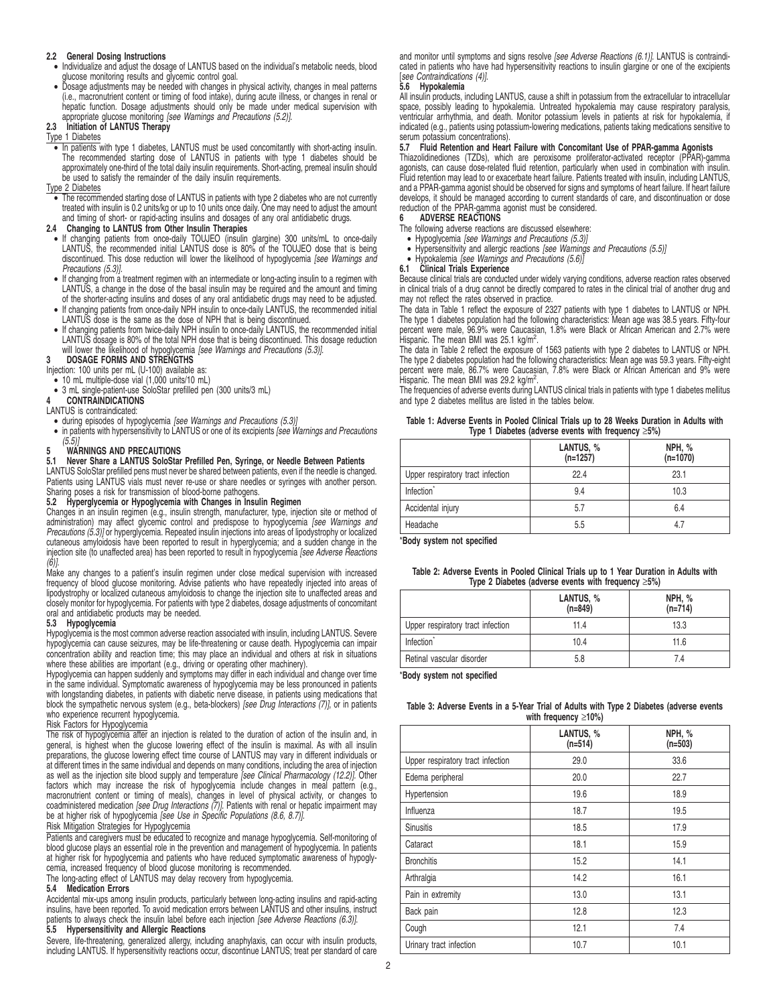## **2.2 General Dosing Instructions**

- Individualize and adjust the dosage of LANTUS based on the individual's metabolic needs, blood glucose monitoring results and glycemic control goal.
- Dosage adjustments may be needed with changes in physical activity, changes in meal patterns (i.e., macronutrient content or timing of food intake), during acute illness, or changes in renal or hepatic function. Dosage adjustments should only be made under medical supervision with appropriate glucose monitoring [see Warnings and Precautions (5.2)]. **2.3 Initiation of LANTUS Therapy**

Type 1 Diabetes • In patients with type 1 diabetes, LANTUS must be used concomitantly with short-acting insulin. The recommended starting dose of LANTUS in patients with type 1 diabetes should be approximately one-third of the total daily insulin requirements. Short-acting, premeal insulin should be used to satisfy the remainder of the daily insulin requirements.

## Type 2 Diabetes

• The recommended starting dose of LANTUS in patients with type 2 diabetes who are not currently treated with insulin is 0.2 units/kg or up to 10 units once daily. One may need to adjust the amount and timing of short- or rapid-acting insulins and dosages of any oral antidiabetic drugs. **2.4 Changing to LANTUS from Other Insulin Therapies**

- If changing patients from once-daily TOUJEO (insulin glargine) 300 units/mL to once-daily LANTUS, the recommended initial LANTUS dose is 80% of the TOUJEO dose that is being discontinued. This dose reduction will lower the likelihood of hypoglycemia [see Warnings and Precautions (5.3)].
- If changing from a treatment regimen with an intermediate or long-acting insulin to a regimen with LANTUS, a change in the dose of the basal insulin may be required and the amount and timing of the shorter-acting insulins and doses of any oral antidiabetic drugs may need to be adjusted.
- If changing patients from once-daily NPH insulin to once-daily LANTUS, the recommended initial LANTUS dose is the same as the dose of NPH that is being discontinued.
- If changing patients from twice-daily NPH insulin to once-daily LANTUS, the recommended initial<br>LANTUS dosage is 80% of the total NPH dose that is being discontinued. This dosage reduction<br>will lower the likelihood of hy

# **3 DOSAGE FORMS AND STRENGTHS**

- Injection: 100 units per mL (U-100) available as: 10 mL multiple-dose vial (1,000 units/10 mL)
- 3 mL single-patient-use SoloStar prefilled pen (300 units/3 mL) **4 CONTRAINDICATIONS**

# LANTUS is contraindicated:

- 
- during episodes of hypoglycemia [see Warnings and Precautions (5.3)] in patients with hypersensitivity to LANTUS or one of its excipients [see Warnings and Precautions  $(5.5)$ ]

# **5** WARNINGS AND PRECAUTIONS<br>5.1 Never Share a LANTUS SoloStar

# **5.1 Never Share a LANTUS SoloStar Prefilled Pen, Syringe, or Needle Between Patients**

LANTUS SoloStar prefilled pens must never be shared between patients, even if the needle is changed. Patients using LANTUS vials must never re-use or share needles or syringes with another person. Sharing poses a risk for transmission of blood-borne pathogens.

## **5.2 Hyperglycemia or Hypoglycemia with Changes in Insulin Regimen**

Changes in an insulin regimen (e.g., insulin strength, manufacturer, type, injection site or method of<br>administration) may affect glycemic control and predispose to hypoglycemia *[see Warnings and* Precautions (5.3)] or hyperglycemia. Repeated insulin injections into areas of lipodystrophy or localized cutaneous amyloidosis have been reported to result in hyperglycemia; and a sudden change in the<br>injection site (to unaffected area) has been reported to result in hypoglycemia *[see Adverse Reactions* 

(6)]. Make any changes to a patient's insulin regimen under close medical supervision with increased frequency of blood glucose monitoring. Advise patients who have repeatedly injected into areas of lipodystrophy or localized cutaneous amyloidosis to change the injection site to unaffected areas and closely monitor for hypoglycemia. For patients with type 2 diabetes, dosage adjustments of concomitant oral and antidiabetic products may be needed.

## **5.3 Hypoglycemia**

Hypoglycemia is the most common adverse reaction associated with insulin, including LANTUS. Severe hypoglycemia can cause seizures, may be life-threatening or cause death. Hypoglycemia can impair concentration ability and reaction time; this may place an individual and others at risk in situations<br>where these abilities are important (e.g., driving or operating other machinery).<br>Hypoglycemia can happen suddenly and

in the same individual. Symptomatic awareness of hypoglycemia may be less pronounced in patients with longstanding diabetes, in patients with diabetic nerve disease, in patients using medications that block the sympathetic nervous system (e.g., beta-blockers) [see Drug Interactions (7)], or in patients who experience recurrent hypoglycemia.

# Risk Factors for Hypoglycemia

The risk of hypoglycemia after an injection is related to the duration of action of the insulin and, in general, is highest when the glucose lowering effect of the insulin is maximal. As with all insulin preparations, the glucose lowering effect time course of LANTUS may vary in different individuals or at different times in the same individual and depends on many conditions, including the area of injection<br>as well as the injection site blood supply and temperature *[see Clinical Pharmacology (12.2)].* Other factors which may increase the risk of hypoglycemia include changes in meal pattern (e.g., macronutrient content or timing of meals), changes in level of physical activity, or changes to<br>coadministered medication *[see Drug Interactions (7)].* Patients with renal or hepatic impairment may be at higher risk of hypoglycemia [see Use in Specific Populations (8.6, 8.7)].

## Risk Mitigation Strategies for Hypoglycemia

Patients and caregivers must be educated to recognize and manage hypoglycemia. Self-monitoring of blood glucose plays an essential role in the prevention and management of hypoglycemia. In patients at higher risk for hypoglycemia and patients who have reduced symptomatic awareness of hypoglycemia, increased frequency of blood glucose monitoring is recommended.

The long-acting effect of LANTUS may delay recovery from hypoglycemia. **5.4 Medication Errors**

Accidental mix-ups among insulin products, particularly between long-acting insulins and rapid-acting insulins, have been reported. To avoid medication errors between LANTUS and other insulins, instruct patients to always check the insulin label before each injection [see Adverse Reactions (6.3)]. **5.5 Hypersensitivity and Allergic Reactions**

Severe, life-threatening, generalized allergy, including anaphylaxis, can occur with insulin products, including LANTUS. If hypersensitivity reactions occur, discontinue LANTUS; treat per standard of care and monitor until symptoms and signs resolve [see Adverse Reactions (6.1)]. LANTUS is contraindicated in patients who have had hypersensitivity reactions to insulin glargine or one of the excipients [see Contraindications (4)].

## **5.6 Hypokalemia**

All insulin products, including LANTUS, cause a shift in potassium from the extracellular to intracellular space, possibly leading to hypokalemia. Untreated hypokalemia may cause respiratory paralysis, ventricular arrhythmia, and death. Monitor potassium levels in patients at risk for hypokalemia, if indicated (e.g., patients using potassium-lowering medications, patients taking medications sensitive to serum potassium concentrations).

## **5.7 Fluid Retention and Heart Failure with Concomitant Use of PPAR-gamma Agonists**

Thiazolidinediones (TZDs), which are peroxisome proliferator-activated receptor (PPAR)-gamma agonists, can cause dose-related fluid retention, particularly when used in combination with insulin. Fluid retention may lead to or exacerbate heart failure. Patients treated with insulin, including LANTUS, and a PPAR-gamma agonist should be observed for signs and symptoms of heart failure. If heart failure develops, it should be managed according to current standards of care, and discontinuation or dose reduction of the PPAR-gamma agonist must be considered.

# **6 ADVERSE REACTIONS**

- The following adverse reactions are discussed elsewhere:
- Hypoglycemia [see Warnings and Precautions (5.3)]
- Hypersensitivity and allergic reactions [see Warnings and Precautions (5.5)]

# • Hypokalemia [see Warnings and Precautions (5.6)] **6.1 Clinical Trials Experience**

Because clinical trials are conducted under widely varying conditions, adverse reaction rates observed<br>in clinical trials of a drug cannot be directly compared to rates in the clinical trial of another drug and<br>may not ref

The data in Table 1 reflect the exposure of 2327 patients with type 1 diabetes to LANTUS or NPH. The type 1 diabetes population had the following characteristics: Mean age was 38.5 years. Fifty-four percent were male, 96.9% were Caucasian, 1.8% were Black or African American and 2.7% were

Hispanic. The mean BMI was 25.1 kg/m<sup>2</sup>.<br>The data in Table 2 reflect the exposure of 1563 patients with type 2 diabetes to LANTUS or NPH.<br>The type 2 diabetes population had the following characteristics: Mean age was 59.3

The frequencies of adverse events during LANTUS clinical trials in patients with type 1 diabetes mellitus and type 2 diabetes mellitus are listed in the tables below.

### **Table 1: Adverse Events in Pooled Clinical Trials up to 28 Weeks Duration in Adults with Type 1 Diabetes (adverse events with frequency** ≥**5%)**

|                                   | LANTUS, %<br>$(n=1257)$ | <b>NPH, %</b><br>$(n=1070)$ |  |  |
|-----------------------------------|-------------------------|-----------------------------|--|--|
| Upper respiratory tract infection | 22.4                    | 23.1                        |  |  |
| Infection <sup>®</sup>            | 9.4                     | 10.3                        |  |  |
| Accidental injury                 | 5.7                     | 6.4                         |  |  |
| Headache                          | 5.5                     | 4.7                         |  |  |

\***Body system not specified**

| Table 2: Adverse Events in Pooled Clinical Trials up to 1 Year Duration in Adults with |
|----------------------------------------------------------------------------------------|
| Type 2 Diabetes (adverse events with frequency $\geq 5\%$ )                            |

|                                   | LANTUS, %<br>$(n=849)$ | NPH, %<br>$(n=714)$ |
|-----------------------------------|------------------------|---------------------|
| Upper respiratory tract infection | 11.4                   | 13.3                |
| Infection <sup>*</sup>            | 10.4                   | 11.6                |
| Retinal vascular disorder         | 5.8                    | 74                  |

\***Body system not specified**

| Table 3: Adverse Events in a 5-Year Trial of Adults with Type 2 Diabetes (adverse events |  |                            |  |  |
|------------------------------------------------------------------------------------------|--|----------------------------|--|--|
|                                                                                          |  | with frequency $\geq$ 10%) |  |  |

|                                   | LANTUS, %<br>$(n=514)$ | NPH, %<br>$(n=503)$ |
|-----------------------------------|------------------------|---------------------|
| Upper respiratory tract infection | 29.0                   | 33.6                |
| Edema peripheral                  | 20.0                   | 22.7                |
| Hypertension                      | 19.6                   | 18.9                |
| Influenza                         | 18.7                   | 19.5                |
| <b>Sinusitis</b>                  | 18.5                   | 17.9                |
| Cataract                          | 18.1                   | 15.9                |
| <b>Bronchitis</b>                 | 15.2                   | 14.1                |
| Arthralgia                        | 14.2                   | 16.1                |
| Pain in extremity                 | 13.0                   | 13.1                |
| Back pain                         | 12.8                   | 12.3                |
| Cough                             | 12.1                   | 7.4                 |
| Urinary tract infection           | 10.7                   | 10.1                |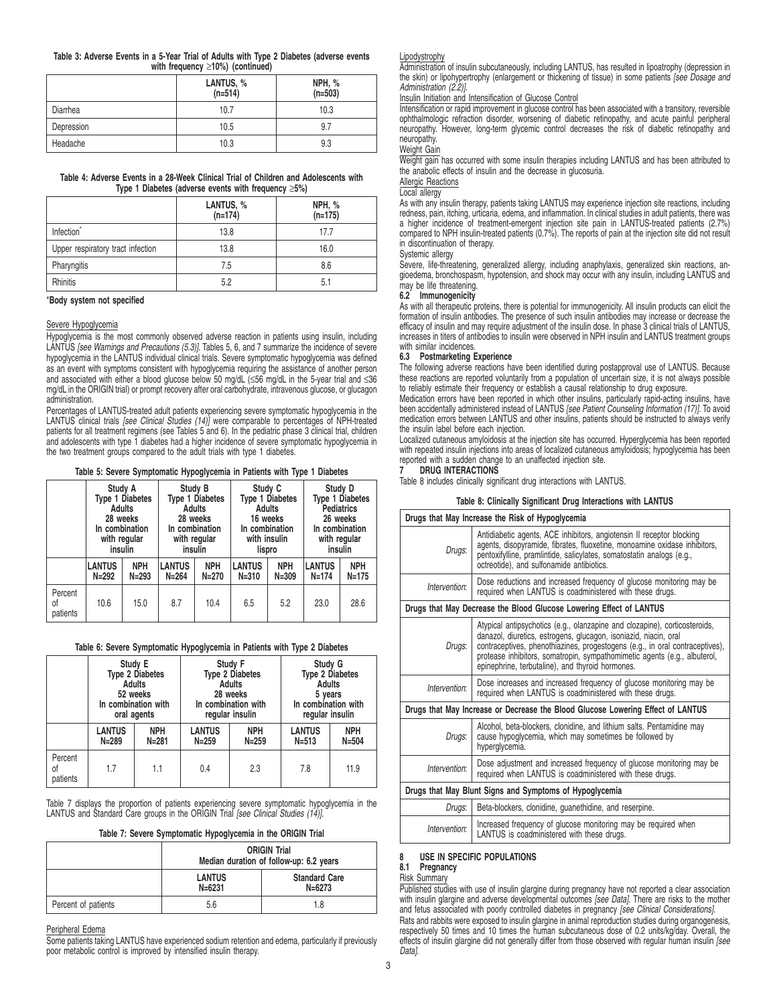## **Table 3: Adverse Events in a 5-Year Trial of Adults with Type 2 Diabetes (adverse events with frequency** ≥**10%) (continued)**

|            | LANTUS, %<br>$(n=514)$ | NPH, %<br>$(n=503)$ |
|------------|------------------------|---------------------|
| Diarrhea   | 10.7                   | 10.3                |
| Depression | 10.5                   | 9.7                 |
| Headache   | 10.3                   | 9.3                 |

## **Table 4: Adverse Events in a 28-Week Clinical Trial of Children and Adolescents with Type 1 Diabetes (adverse events with frequency** ≥**5%)**

|                                   | LANTUS, %<br>$(n=174)$ | NPH, %<br>$(n=175)$ |
|-----------------------------------|------------------------|---------------------|
| Infection <sup>®</sup>            | 13.8                   | 17.7                |
| Upper respiratory tract infection | 13.8                   | 16.0                |
| Pharyngitis                       | 7.5                    | 8.6                 |
| <b>Rhinitis</b>                   | 5.2                    | 5.1                 |

## \***Body system not specified**

## Severe Hypoglycemia

Hypoglycemia is the most commonly observed adverse reaction in patients using insulin, including LANTUS [see Warnings and Precautions (5.3)]. Tables 5, 6, and 7 summarize the incidence of severe hypoglycemia in the LANTUS individual clinical trials. Severe symptomatic hypoglycemia was defined as an event with symptoms consistent with hypoglycemia requiring the assistance of another person and associated with either a blood glucose below 50 mg/dL (≤56 mg/dL in the 5-year trial and ≤36 mg/dL in the ORIGIN trial) or prompt recovery after oral carbohydrate, intravenous glucose, or glucagon administration.

Percentages of LANTUS-treated adult patients experiencing severe symptomatic hypoglycemia in the LANTUS clinical trials [see Clinical Studies (14)] were comparable to percentages of NPH-treated patients for all treatment regimens (see Tables 5 and 6). In the pediatric phase 3 clinical trial, children and adolescents with type 1 diabetes had a higher incidence of severe symptomatic hypoglycemia in the two treatment groups compared to the adult trials with type 1 diabetes.

## **Table 5: Severe Symptomatic Hypoglycemia in Patients with Type 1 Diabetes**

|                           |                        |            |                        |           |                        | . .        |                        |            |
|---------------------------|------------------------|------------|------------------------|-----------|------------------------|------------|------------------------|------------|
|                           | Study A                |            | Study B                |           | Study C                |            | Study D                |            |
|                           | <b>Type 1 Diabetes</b> |            | <b>Type 1 Diabetes</b> |           | <b>Type 1 Diabetes</b> |            | <b>Type 1 Diabetes</b> |            |
|                           | Adults                 |            | Adults                 |           | Adults                 |            | <b>Pediatrics</b>      |            |
|                           | 28 weeks               |            | 28 weeks               |           | 16 weeks               |            | 26 weeks               |            |
|                           | In combination         |            | In combination         |           | In combination         |            | In combination         |            |
|                           | with regular           |            | with regular           |           | with insulin           |            | with regular           |            |
|                           | insulin                |            | insulin                |           | lispro                 |            | insulin                |            |
|                           | <b>LANTUS</b>          | <b>NPH</b> | <b>LANTUS</b>          | NPH       | <b>LANTUS</b>          | <b>NPH</b> | <b>LANTUS</b>          | <b>NPH</b> |
|                           | $N = 292$              | $N = 293$  | $N = 264$              | $N = 270$ | $N = 310$              | $N = 309$  | $N = 174$              | $N = 175$  |
| Percent<br>οf<br>patients | 10.6                   | 15.0       | 8.7                    | 10.4      | 6.5                    | 5.2        | 23.0                   | 28.6       |

## **Table 6: Severe Symptomatic Hypoglycemia in Patients with Type 2 Diabetes**

|                           | Study E                |            | Study F                |            | Study G                |            |
|---------------------------|------------------------|------------|------------------------|------------|------------------------|------------|
|                           | <b>Type 2 Diabetes</b> |            | <b>Type 2 Diabetes</b> |            | <b>Type 2 Diabetes</b> |            |
|                           | <b>Adults</b>          |            | <b>Adults</b>          |            | <b>Adults</b>          |            |
|                           | 52 weeks               |            | 28 weeks               |            | 5 years                |            |
|                           | In combination with    |            | In combination with    |            | In combination with    |            |
|                           | oral agents            |            | reqular insulin        |            | regular insulin        |            |
|                           | <b>LANTUS</b>          | <b>NPH</b> | <b>LANTUS</b>          | <b>NPH</b> | <b>LANTUS</b>          | <b>NPH</b> |
|                           | $N = 289$              | $N = 281$  | $N = 259$              | $N = 259$  | $N = 513$              | $N = 504$  |
| Percent<br>οf<br>patients | 1.7                    | 1.1        | 0.4                    | 2.3        | 7.8                    | 11.9       |

Table 7 displays the proportion of patients experiencing severe symptomatic hypoglycemia in the LANTUS and Standard Care groups in the ORIGIN Trial [see Clinical Studies (14)].

| Table 7: Severe Symptomatic Hypoglycemia in the ORIGIN Trial |  |  |  |  |  |  |
|--------------------------------------------------------------|--|--|--|--|--|--|
|--------------------------------------------------------------|--|--|--|--|--|--|

|                     | <b>ORIGIN Trial</b><br>Median duration of follow-up: 6.2 years |                                |  |  |  |
|---------------------|----------------------------------------------------------------|--------------------------------|--|--|--|
|                     | <b>LANTUS</b><br>$N = 6231$                                    | <b>Standard Care</b><br>N=6273 |  |  |  |
| Percent of patients | 5.6                                                            | 1.8                            |  |  |  |

## Peripheral Edema

Some patients taking LANTUS have experienced sodium retention and edema, particularly if previously poor metabolic control is improved by intensified insulin therapy.

## Lipodystrophy

Administration of insulin subcutaneously, including LANTUS, has resulted in lipoatrophy (depression in the skin) or lipohypertrophy (enlargement or thickening of tissue) in some patients [see Dosage and Administration (2.2)].

# Insulin Initiation and Intensification of Glucose Control

Intensification or rapid improvement in glucose control has been associated with a transitory, reversible ophthalmologic refraction disorder, worsening of diabetic retinopathy, and acute painful peripheral neuropathy. However, long-term glycemic control decreases the risk of diabetic retinopathy and neuropathy.

## Weight Gain

Weight gain has occurred with some insulin therapies including LANTUS and has been attributed to the anabolic effects of insulin and the decrease in glucosuria.

# Allergic Reactions

# Local allergy

As with any insulin therapy, patients taking LANTUS may experience injection site reactions, including redness, pain, itching, urticaria, edema, and inflammation. In clinical studies in adult patients, there was a higher incidence of treatment-emergent injection site pain in LANTUS-treated patients (2.7%) compared to NPH insulin-treated patients (0.7%). The reports of pain at the injection site did not result in discontinuation of therapy.

## Systemic allergy

Severe, life-threatening, generalized allergy, including anaphylaxis, generalized skin reactions, angioedema, bronchospasm, hypotension, and shock may occur with any insulin, including LANTUS and may be life threatening.

## **6.2 Immunogenicity**

As with all therapeutic proteins, there is potential for immunogenicity. All insulin products can elicit the formation of insulin antibodies. The presence of such insulin antibodies may increase or decrease the efficacy of insulin and may require adjustment of the insulin dose. In phase 3 clinical trials of LANTUS, increases in titers of antibodies to insulin were observed in NPH insulin and LANTUS treatment groups with similar incidences.

## **6.3 Postmarketing Experience**

The following adverse reactions have been identified during postapproval use of LANTUS. Because these reactions are reported voluntarily from a population of uncertain size, it is not always possible to reliably estimate their frequency or establish a causal relationship to drug exposure.

Medication errors have been reported in which other insulins, particularly rapid-acting insulins, have been accidentally administered instead of LANTUS [see Patient Counseling Information (17)]. To avoid medication errors between LANTUS and other insulins, patients should be instructed to always verify the insulin label before each injection.

Localized cutaneous amyloidosis at the injection site has occurred. Hyperglycemia has been reported with repeated insulin injections into areas of localized cutaneous amyloidosis; hypoglycemia has been reported with a sudden change to an unaffected injection site.

## **7 DRUG INTERACTIONS**

Table 8 includes clinically significant drug interactions with LANTUS.

| Table 8: Clinically Significant Drug Interactions with LANTUS |                                                                                                                                                                                                                                                                                                                                                                 |  |  |  |  |
|---------------------------------------------------------------|-----------------------------------------------------------------------------------------------------------------------------------------------------------------------------------------------------------------------------------------------------------------------------------------------------------------------------------------------------------------|--|--|--|--|
|                                                               | Drugs that May Increase the Risk of Hypoglycemia                                                                                                                                                                                                                                                                                                                |  |  |  |  |
| Drugs:                                                        | Antidiabetic agents, ACE inhibitors, angiotensin II receptor blocking<br>agents, disopyramide, fibrates, fluoxetine, monoamine oxidase inhibitors,<br>pentoxifylline, pramlintide, salicylates, somatostatin analogs (e.g.,<br>octreotide), and sulfonamide antibiotics.                                                                                        |  |  |  |  |
| Intervention:                                                 | Dose reductions and increased frequency of glucose monitoring may be<br>required when LANTUS is coadministered with these drugs.                                                                                                                                                                                                                                |  |  |  |  |
|                                                               | Drugs that May Decrease the Blood Glucose Lowering Effect of LANTUS                                                                                                                                                                                                                                                                                             |  |  |  |  |
| Drugs:                                                        | Atypical antipsychotics (e.g., olanzapine and clozapine), corticosteroids,<br>danazol, diuretics, estrogens, glucagon, isoniazid, niacin, oral<br>contraceptives, phenothiazines, progestogens (e.g., in oral contraceptives),<br>protease inhibitors, somatropin, sympathomimetic agents (e.g., albuterol,<br>epinephrine, terbutaline), and thyroid hormones. |  |  |  |  |
| Intervention:                                                 | Dose increases and increased frequency of glucose monitoring may be<br>required when LANTUS is coadministered with these drugs.                                                                                                                                                                                                                                 |  |  |  |  |
|                                                               | Drugs that May Increase or Decrease the Blood Glucose Lowering Effect of LANTUS                                                                                                                                                                                                                                                                                 |  |  |  |  |
| Drugs:                                                        | Alcohol, beta-blockers, clonidine, and lithium salts. Pentamidine may<br>cause hypoglycemia, which may sometimes be followed by<br>hyperglycemia.                                                                                                                                                                                                               |  |  |  |  |
| Intervention:                                                 | Dose adjustment and increased frequency of glucose monitoring may be<br>required when LANTUS is coadministered with these drugs.                                                                                                                                                                                                                                |  |  |  |  |
|                                                               | Drugs that May Blunt Signs and Symptoms of Hypoglycemia                                                                                                                                                                                                                                                                                                         |  |  |  |  |
| Drugs:                                                        | Beta-blockers, clonidine, quanethidine, and reserpine.                                                                                                                                                                                                                                                                                                          |  |  |  |  |
| Intervention:                                                 | Increased frequency of glucose monitoring may be required when<br>LANTUS is coadministered with these drugs.                                                                                                                                                                                                                                                    |  |  |  |  |

## **USE IN SPECIFIC POPULATIONS**

## **8.1 Pregnancy**

## Risk Summary

Published studies with use of insulin glargine during pregnancy have not reported a clear association<br>with insulin glargine and adverse developmental outcomes [see Data]. There are risks to the mother<br>and fetus associated Rats and rabbits were exposed to insulin glargine in animal reproduction studies during organogenesis, respectively 50 times and 10 times the human subcutaneous dose of 0.2 units/kg/day. Overall, the effects of insulin glargine did not generally differ from those observed with regular human insulin [see Data].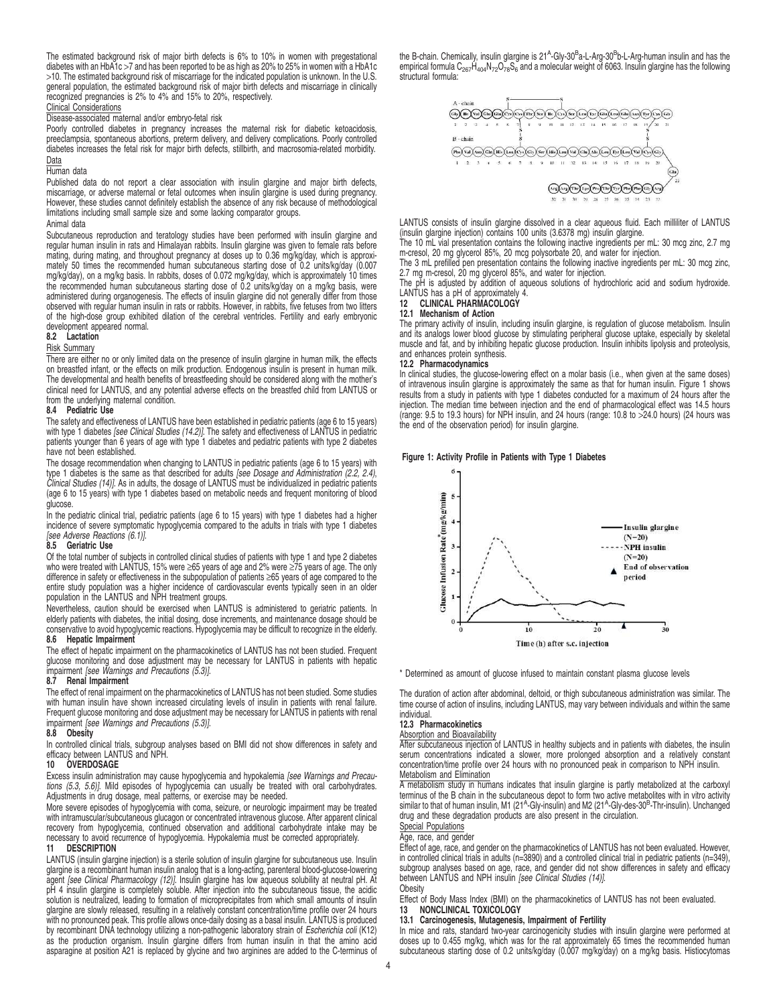The estimated background risk of major birth defects is 6% to 10% in women with pregestational diabetes with an HbA1c >7 and has been reported to be as high as 20% to 25% in women with a HbA1c >10. The estimated background risk of miscarriage for the indicated population is unknown. In the U.S. general population, the estimated background risk of major birth defects and miscarriage in clinically recognized pregnancies is 2% to 4% and 15% to 20%, respectively.

## Clinical Considerations

## Disease-associated maternal and/or embryo-fetal risk

Poorly controlled diabetes in pregnancy increases the maternal risk for diabetic ketoacidosis, preeclampsia, spontaneous abortions, preterm delivery, and delivery complications. Poorly controlled diabetes increases the fetal risk for major birth defects, stillbirth, and macrosomia-related morbidity. Data

## Human data

Published data do not report a clear association with insulin glargine and major birth defects, miscarriage, or adverse maternal or fetal outcomes when insulin glargine is used during pregnancy. However, these studies cannot definitely establish the absence of any risk because of methodological limitations including small sample size and some lacking comparator groups.

## Animal data

Subcutaneous reproduction and teratology studies have been performed with insulin glargine and regular human insulin in rats and Himalayan rabbits. Insulin glargine was given to female rats before mating, during mating, and throughout pregnancy at doses up to 0.36 mg/kg/day, which is approximately 50 times the recommended human subcutaneous starting dose of 0.2 units/kg/day (0.007 mg/kg/day), on a mg/kg basis. In rabbits, doses of 0.072 mg/kg/day, which is approximately 10 times<br>the recommended human subcutaneous starting dose of 0.2 units/kg/day on a mg/kg basis, were<br>administered during organogene of the high-dose group exhibited dilation of the cerebral ventricles. Fertility and early embryonic development appeared normal. **8.2 Lactation**

## Risk Summary

There are either no or only limited data on the presence of insulin glargine in human milk, the effects on breastfed infant, or the effects on milk production. Endogenous insulin is present in human milk. The developmental and health benefits of breastfeeding should be considered along with the mother's clinical need for LANTUS, and any potential adverse effects on the breastfed child from LANTUS or from the underlying maternal condition.

## **8.4 Pediatric Use**

The safety and effectiveness of LANTUS have been established in pediatric patients (age 6 to 15 years)<br>with type 1 diabetes *[see Clinical Studies (14.2)]*. The safety and effectiveness of LANTUS in pediatric patients younger than 6 years of age with type 1 diabetes and pediatric patients with type 2 diabetes have not been established.

The dosage recommendation when changing to LANTUS in pediatric patients (age 6 to 15 years) with<br>type 1 diabetes is the same as that described for adults *[see Dosage and Administration (2.2, 2.4)*, *Clinical Studies (14)].* As in adults, the dosage of LANTUS must be individualized in pediatric patients<br>(age 6 to 15 years) with type 1 diabetes based on metabolic needs and frequent monitoring of blood glucose.

In the pediatric clinical trial, pediatric patients (age 6 to 15 years) with type 1 diabetes had a higher incidence of severe symptomatic hypoglycemia compared to the adults in trials with type 1 diabetes [see Adverse Reactions (6.1)].

## **8.5 Geriatric Use**

Of the total number of subjects in controlled clinical studies of patients with type 1 and type 2 diabetes who were treated with LANTUS, 15% were ≥65 years of age and 2% were ≥75 years of age. The only<br>difference in safety or effectiveness in the subpopulation of patients ≥65 years of age compared to the entire study population was a higher incidence of cardiovascular events typically seen in an older population in the LANTUS and NPH treatment groups.

Nevertheless, caution should be exercised when LANTUS is administered to geriatric patients. In elderly patients with diabetes, the initial dosing, dose increments, and maintenance dosage should be conservative to avoid hypoglycemic reactions. Hypoglycemia may be difficult to recognize in the elderly. **8.6 Hepatic Impairment**

## The effect of hepatic impairment on the pharmacokinetics of LANTUS has not been studied. Frequent glucose monitoring and dose adjustment may be necessary for LANTUS in patients with hepatic impairment [see Warnings and Precautions (5.3)].

## **8.7 Renal Impairment**

The effect of renal impairment on the pharmacokinetics of LANTUS has not been studied. Some studies with human insulin have shown increased circulating levels of insulin in patients with renal failure. Frequent glucose monitoring and dose adjustment may be necessary for LANTUS in patients with renal impairment [see Warnings and Precautions (5.3)].

## **8.8 Obesity**

In controlled clinical trials, subgroup analyses based on BMI did not show differences in safety and efficacy between LANTUS and NPH.

## **10 OVERDOSAGE**

Excess insulin administration may cause hypoglycemia and hypokalemia [see Warnings and Precautions (5.3, 5.6)]. Mild episodes of hypoglycemia can usually be treated with oral carbohydrates. Adjustments in drug dosage, meal patterns, or exercise may be needed.

More severe episodes of hypoglycemia with coma, seizure, or neurologic impairment may be treated with intramuscular/subcutaneous glucagon or concentrated intravenous glucose. After apparent clinical recovery from hypoglycemia, continued observation and additional carbohydrate intake may be necessary to avoid recurrence of hypoglycemia. Hypokalemia must be corrected appropriately.<br>11 DESCRIPTION

## **11 DESCRIPTION**

LANTUS (insulin glargine injection) is a sterile solution of insulin glargine for subcutaneous use. Insulin<br>glargine is a recombinant human insulin analog that is a long-acting, parenteral blood-glucose-lowering<br>agent *[se* pH 4 insulin glargine is completely soluble. After injection into the subcutaneous tissue, the acidic solution is neutralized, leading to formation of microprecipitates from which small amounts of insulin glargine are slowly released, resulting in a relatively constant concentration/time profile over 24 hours with no pronounced peak. This profile allows once-daily dosing as a basal insulin. LANTUS is produced by recombinant DNA technology utilizing a non-pathogenic laboratory strain of Escherichia coli (K12) as the production organism. Insulin glargine differs from human insulin in that the amino acid asparagine at position A21 is replaced by glycine and two arginines are added to the C-terminus of

the B-chain. Chemically, insulin glargine is 21<sup>A</sup>-Gly-30<sup>B</sup>a-L-Arg-30<sup>B</sup>b-L-Arg-human insulin and has the<br>empirical formula C<sub>267</sub>H<sub>404</sub>N<sub>72</sub>O<sub>78</sub>S<sub>6</sub> and a molecular weight of 6063. Insulin glargine has the following structural formula:



LANTUS consists of insulin glargine dissolved in a clear aqueous fluid. Each milliliter of LANTUS (insulin glargine injection) contains 100 units (3.6378 mg) insulin glargine.

The 10 mL vial presentation contains the following inactive ingredients per mL: 30 mcg zinc, 2.7 mg m-cresol, 20 mg glycerol 85%, 20 mcg polysorbate 20, and water for injection.

The 3 mL prefilled pen presentation contains the following inactive ingredients per mL: 30 mcg zinc,

2.7 mg m-cresol, 20 mg glycerol 85%, and water for injection. The pH is adjusted by addition of aqueous solutions of hydrochloric acid and sodium hydroxide.

# LANTUS has a pH of approximately 4. **12 CLINICAL PHARMACOLOGY**

## **12.1 Mechanism of Action**

The primary activity of insulin, including insulin glargine, is regulation of glucose metabolism. Insulin and its analogs lower blood glucose by stimulating peripheral glucose uptake, especially by skeletal muscle and fat, and by inhibiting hepatic glucose production. Insulin inhibits lipolysis and proteolysis, and enhances protein synthesis.

## **12.2 Pharmacodynamics**

In clinical studies, the glucose-lowering effect on a molar basis (i.e., when given at the same doses) of intravenous insulin glargine is approximately the same as that for human insulin. Figure 1 shows results from a study in patients with type 1 diabetes conducted for a maximum of 24 hours after the injection. The median time between injection and the end of pharmacological effect was 14.5 hours (range: 9.5 to 19.3 hours) for NPH insulin, and 24 hours (range: 10.8 to >24.0 hours) (24 hours was the end of the observation period) for insulin glargine.

## **Figure 1: Activity Profile in Patients with Type 1 Diabetes**



\* Determined as amount of glucose infused to maintain constant plasma glucose levels

The duration of action after abdominal, deltoid, or thigh subcutaneous administration was similar. The time course of action of insulins, including LANTUS, may vary between individuals and within the same individual.

## **12.3 Pharmacokinetics**

Absorption and Bioavailability

After subcutaneous injection of LANTUS in healthy subjects and in patients with diabetes, the insulin serum concentrations indicated a slower, more prolonged absorption and a relatively constant concentration/time profile over 24 hours with no pronounced peak in comparison to NPH insulin. Metabolism and Elimination

A metabolism study in humans indicates that insulin glargine is partly metabolized at the carboxyl terminus of the B chain in the subcutaneous depot to form two active metabolites with in vitro activity similar to that of human insulin, M1 (21<sup>A</sup>-Gly-insulin) and M2 (21<sup>A</sup>-Gly-des-30<sup>B</sup>-Thr-insulin). Unchanged drug and these degradation products are also present in the circulation.

# Special Populations

# Age, race, and gender

Effect of age, race, and gender on the pharmacokinetics of LANTUS has not been evaluated. However, in controlled clinical trials in adults (n=3890) and a controlled clinical trial in pediatric patients (n=349), subgroup analyses based on age, race, and gender did not show differences in safety and efficacy<br>between LANTUS and NPH insulin *[see Clinical Studies (14)]*. **Obesity** 

Effect of Body Mass Index (BMI) on the pharmacokinetics of LANTUS has not been evaluated.<br>**13 NONCLINICAL TOXICOLOGY**<br>**13.1 Carcinogenesis, Mutagenesis, Impairment of Fertility** 

In mice and rats, standard two-year carcinogenicity studies with insulin glargine were performed at doses up to 0.455 mg/kg, which was for the rat approximately 65 times the recommended human subcutaneous starting dose of 0.2 units/kg/day (0.007 mg/kg/day) on a mg/kg basis. Histiocytomas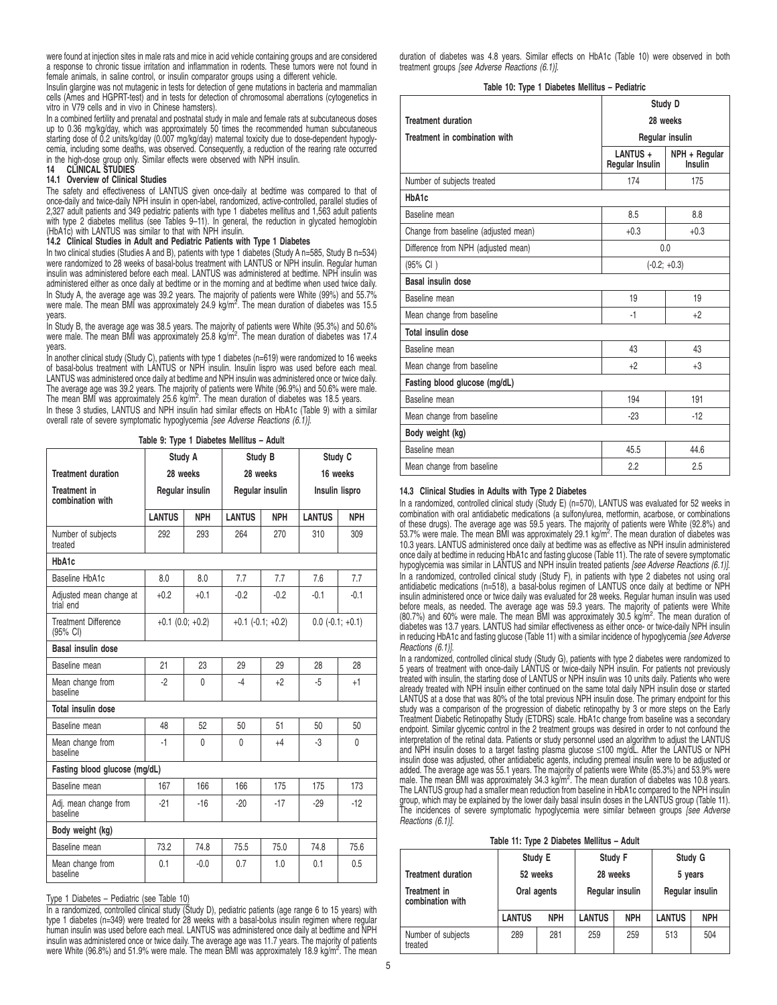were found at injection sites in male rats and mice in acid vehicle containing groups and are considered a response to chronic tissue irritation and inflammation in rodents. These tumors were not found in female animals, in saline control, or insulin comparator groups using a different vehicle.

Insulin glargine was not mutagenic in tests for detection of gene mutations in bacteria and mammalian cells (Ames and HGPRT-test) and in tests for detection of chromosomal aberrations (cytogenetics in vitro in V79 cells and in vivo in Chinese hamsters).

In a combined fertility and prenatal and postnatal study in male and female rats at subcutaneous doses up to 0.36 mg/kg/day, which was approximately 50 times the recommended human subcutaneous starting dose of 0.2 units/kg/day (0.007 mg/kg/day) maternal toxicity due to dose-dependent hypogly-cemia, including some deaths, was observed. Consequently, a reduction of the rearing rate occurred in the high-dose group only. Similar effects were observed with NPH insulin.

# **14 CLINICAL STUDIES**

# **14.1 Overview of Clinical Studies**

The safety and effectiveness of LANTUS given once-daily at bedtime was compared to that of once-daily and twice-daily NPH insulin in open-label, randomized, active-controlled, parallel studies of 2,327 adult patients and 349 pediatric patients with type 1 diabetes mellitus and 1,563 adult patients with type 2 diabetes mellitus (see Tables 9-11). In general, the reduction in glycated hemoglobin (HbA1c) with LANTUS was similar to that with NPH insulin.

## **14.2 Clinical Studies in Adult and Pediatric Patients with Type 1 Diabetes**

In two clinical studies (Studies A and B), patients with type 1 diabetes (Study A n=585, Study B n=534) were randomized to 28 weeks of basal-bolus treatment with LANTUS or NPH insulin. Regular human insulin was administered before each meal. LANTUS was administered at bedtime. NPH insulin was administered either as once daily at bedtime or in the morning and at bedtime when used twice daily. In Study A, the average age was 39.2 years. The majority of patients were White (99%) and 55.7%<br>were male. The mean BMI was approximately 24.9 kg/m<sup>2</sup>. The mean duration of diabetes was 15.5 years.

In Study B, the average age was 38.5 years. The majority of patients were White (95.3%) and 50.6%<br>were male. The mean BMI was approximately 25.8 kg/m<sup>2</sup>. The mean duration of diabetes was 17.4 years.

In another clinical study (Study C), patients with type 1 diabetes (n=619) were randomized to 16 weeks of basal-bolus treatment with LANTUS or NPH insulin. Insulin lispro was used before each meal. LANTUS was administered once daily at bedtime and NPH insulin was administered once or twice daily. The average age was 39.2 years. The majority of patients were White (96.9%) and 50.6% were male.<br>The mean BMI was approximately 25.6 kg/m<sup>2</sup>. The mean duration of diabetes was 18.5 years.

In these 3 studies, LANTUS and NPH insulin had similar effects on HbA1c (Table 9) with a similar overall rate of severe symptomatic hypoglycemia [see Adverse Reactions (6.1)].

**Table 9: Type 1 Diabetes Mellitus – Adult**

|                                         |               | Study A               |                       | Study B         | Study C            |                |  |
|-----------------------------------------|---------------|-----------------------|-----------------------|-----------------|--------------------|----------------|--|
| <b>Treatment duration</b>               |               | 28 weeks              |                       | 28 weeks        |                    | 16 weeks       |  |
| <b>Treatment in</b><br>combination with |               | Regular insulin       |                       | Regular insulin |                    | Insulin lispro |  |
|                                         | <b>LANTUS</b> | <b>NPH</b>            | <b>LANTUS</b>         | <b>NPH</b>      | <b>LANTUS</b>      | <b>NPH</b>     |  |
| Number of subjects<br>treated           | 292           | 293                   | 264                   | 270             | 310                | 309            |  |
| HbA1c                                   |               |                       |                       |                 |                    |                |  |
| Baseline HbA1c                          | 8.0           | 8.0                   | 7.7                   | 7.7             | 7.6                | 7.7            |  |
| Adjusted mean change at<br>trial end    | $+0.2$        | $+0.1$                | $-0.2$                | $-0.2$          | $-0.1$             | $-0.1$         |  |
| <b>Treatment Difference</b><br>(95% CI) |               | $+0.1$ (0.0; $+0.2$ ) | $+0.1$ $(-0.1; +0.2)$ |                 | $0.0$ (-0.1; +0.1) |                |  |
| Basal insulin dose                      |               |                       |                       |                 |                    |                |  |
| Baseline mean                           | 21            | 23                    | 29                    | 29              | 28                 | 28             |  |
| Mean change from<br>baseline            | $-2$          | $\Omega$              | -4                    | $+2$            | $-5$               | $+1$           |  |
| <b>Total insulin dose</b>               |               |                       |                       |                 |                    |                |  |
| Baseline mean                           | 48            | 52                    | 50                    | 51              | 50                 | 50             |  |
| Mean change from<br>baseline            | $-1$          | $\Omega$              | 0                     | $+4$            | -3                 | 0              |  |
| Fasting blood glucose (mg/dL)           |               |                       |                       |                 |                    |                |  |
| Baseline mean                           | 167           | 166                   | 166                   | 175             | 175                | 173            |  |
| Adj. mean change from<br>haseline       | $-21$         | $-16$                 | $-20$                 | $-17$           | $-29$              | $-12$          |  |
| Body weight (kg)                        |               |                       |                       |                 |                    |                |  |
| Baseline mean                           | 73.2          | 74.8                  | 75.5                  | 75.0            | 74.8               | 75.6           |  |
| Mean change from<br>baseline            | 0.1           | $-0.0$                | 0.7                   | 1.0             | 0.1                | 0.5            |  |

Type 1 Diabetes – Pediatric (see Table 10)

In a randomized, controlled clinical study (Study D), pediatric patients (age range 6 to 15 years) with type 1 diabetes (n=349) were treated for 28 weeks with a basal-bolus insulin regimen where regular human insulin was used before each meal. LANTUS was administered once daily at bedtime and NPH insulin was administered once or twice daily. The average age was 11.7 years. The majority of patients were White (96.8%) and 51.9% were male. The mean BMI was approximately 18.9 kg/m<sup>2</sup>. The mean duration of diabetes was 4.8 years. Similar effects on HbA1c (Table 10) were observed in both treatment groups [see Adverse Reactions (6.1)].

## **Table 10: Type 1 Diabetes Mellitus – Pediatric**

|                                      | Study D                                                 |                 |  |  |
|--------------------------------------|---------------------------------------------------------|-----------------|--|--|
| <b>Treatment duration</b>            | 28 weeks                                                |                 |  |  |
| Treatment in combination with        |                                                         | Regular insulin |  |  |
|                                      | LANTUS +<br>NPH + Regular<br>Regular Insulin<br>Insulin |                 |  |  |
| Number of subjects treated           | 174                                                     | 175             |  |  |
| HbA1c                                |                                                         |                 |  |  |
| Baseline mean                        | 8.5                                                     | 8.8             |  |  |
| Change from baseline (adjusted mean) | $+0.3$                                                  | $+0.3$          |  |  |
| Difference from NPH (adjusted mean)  | 0.0                                                     |                 |  |  |
| (95% CI)                             | $(-0.2; +0.3)$                                          |                 |  |  |
| Basal insulin dose                   |                                                         |                 |  |  |
| Baseline mean                        | 19                                                      | 19              |  |  |
| Mean change from baseline            | $-1$                                                    | $+2$            |  |  |
| <b>Total insulin dose</b>            |                                                         |                 |  |  |
| Baseline mean                        | 43                                                      | 43              |  |  |
| Mean change from baseline            | $+2$                                                    | $+3$            |  |  |
| Fasting blood glucose (mg/dL)        |                                                         |                 |  |  |
| Baseline mean                        | 194                                                     | 191             |  |  |
| Mean change from baseline            | $-23$                                                   | $-12$           |  |  |
| Body weight (kg)                     |                                                         |                 |  |  |
| Baseline mean                        | 45.5                                                    | 44.6            |  |  |
| Mean change from baseline            | 2.2                                                     | 2.5             |  |  |

## **14.3 Clinical Studies in Adults with Type 2 Diabetes**

In a randomized, controlled clinical study (Study E) (n=570), LANTUS was evaluated for 52 weeks in combination with oral antidiabetic medications (a sulfonylurea, metformin, acarbose, or combinations of these drugs). The average age was 59.5 years. The majority of patients were White (92.8%) and<br>53.7% were male. The mean BMI was approximately 29.1 kg/m<sup>2</sup>. The mean duration of diabetes was 10.3 years. LANTUS administered once daily at bedtime was as effective as NPH insulin administered once daily at bedtime in reducing HbA1c and fasting glucose (Table 11). The rate of severe symptomatic<br>hypoglycemia was similar in LANTUS and NPH insulin treated patients *[see Adverse Reactions (6.1)]*. In a randomized, controlled clinical study (Study F), in patients with type 2 diabetes not using oral antidiabetic medications (n=518), a basal-bolus regimen of LANTUS once daily at bedtime or NPH insulin administered once or twice daily was evaluated for 28 weeks. Regular human insulin was used before meals, as needed. The average age was 59.3 years. The majority of patients were White (80.7%) and 60% were male. The mean BMI was approximately 30.5 kg/m<sup>2</sup> . The mean duration of diabetes was 13.7 years. LANTUS had similar effectiveness as either once- or twice-daily NPH insulin in reducing HbA1c and fasting glucose (Table 11) with a similar incidence of hypoglycemia [see Adverse Reactions (6.1)].

In a randomized, controlled clinical study (Study G), patients with type 2 diabetes were randomized to 5 years of treatment with once-daily LANTUS or twice-daily NPH insulin. For patients not previously treated with insulin, the starting dose of LANTUS or NPH insulin was 10 units daily. Patients who were already treated with NPH insulin either continued on the same total daily NPH insulin dose or started LANTUS at a dose that was 80% of the total previous NPH insulin dose. The primary endpoint for this study was a comparison of the progression of diabetic retinopathy by 3 or more steps on the Early Treatment Diabetic Retinopathy Study (ETDRS) scale. HbA1c change from baseline was a secondary endpoint. Similar glycemic control in the 2 treatment groups was desired in order to not confound the interpretation of the retinal data. Patients or study personnel used an algorithm to adjust the LANTUS and NPH insulin doses to a target fasting plasma glucose ≤100 mg/dL. After the LANTUS or NPH insulin dose was adjusted, other antidiabetic agents, including premeal insulin were to be adjusted or added. The average age was 55.1 years. The majority of patients were White (85.3%) and 53.9% were<br>male. The mean BMI was approximately 34.3 kg/m<sup>2</sup>. The mean duration of diabetes was 10.8 years. The LANTUS group had a smaller mean reduction from baseline in HbA1c compared to the NPH insulin group, which may be explained by the lower daily basal insulin doses in the LANTUS group (Table 11).<br>The incidences of severe symptomatic hypoglycemia were similar between groups *[see Adverse* Reactions (6.1)].

|  |  |  |  | Table 11: Type 2 Diabetes Mellitus – Adult |  |  |  |
|--|--|--|--|--------------------------------------------|--|--|--|
|--|--|--|--|--------------------------------------------|--|--|--|

|                                  | Study E       |            | Study F       |                 | Study G         |            |  |  |
|----------------------------------|---------------|------------|---------------|-----------------|-----------------|------------|--|--|
| <b>Treatment duration</b>        | 52 weeks      |            | 28 weeks      |                 | 5 years         |            |  |  |
| Treatment in<br>combination with | Oral agents   |            |               | Regular insulin | Regular insulin |            |  |  |
|                                  | <b>LANTUS</b> | <b>NPH</b> | <b>LANTUS</b> | <b>NPH</b>      | <b>LANTUS</b>   | <b>NPH</b> |  |  |
| Number of subjects<br>treated    | 289           | 281        | 259           | 259             | 513             | 504        |  |  |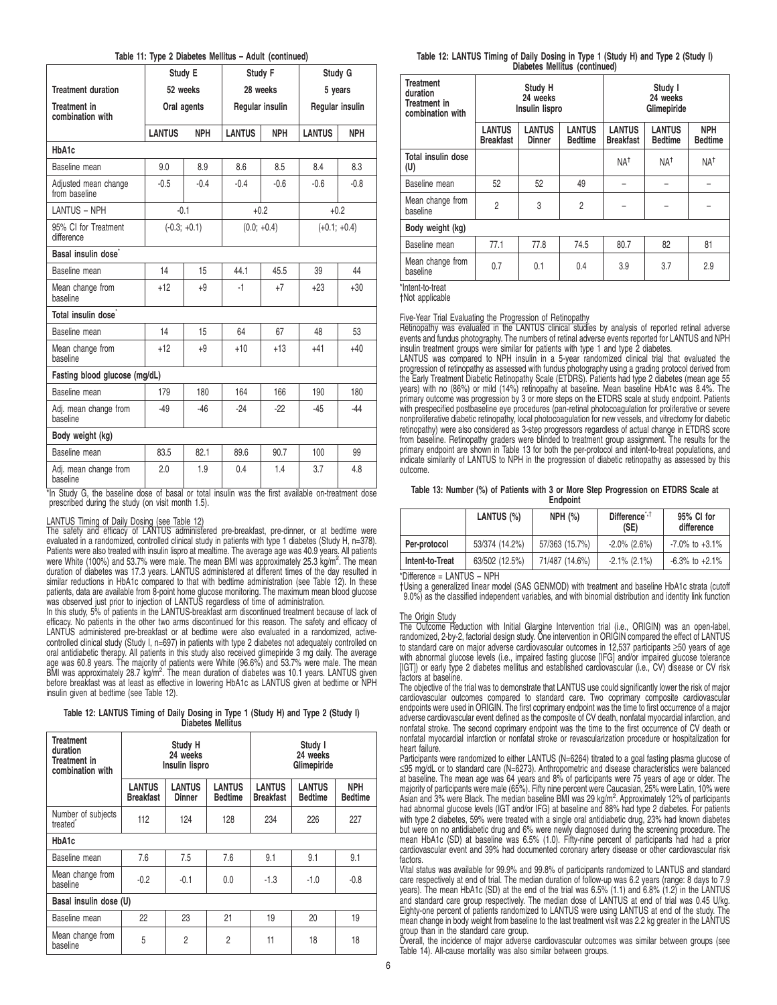|  |  |  |  |  | Table 11: Type 2 Diabetes Mellitus - Adult (continued) |
|--|--|--|--|--|--------------------------------------------------------|
|--|--|--|--|--|--------------------------------------------------------|

|                                         | Study E        |             | Study F         |            | Study G         |            |
|-----------------------------------------|----------------|-------------|-----------------|------------|-----------------|------------|
| <b>Treatment duration</b>               | 52 weeks       |             | 28 weeks        |            | 5 years         |            |
| <b>Treatment in</b><br>combination with |                | Oral agents | Regular insulin |            | Regular insulin |            |
|                                         | <b>LANTUS</b>  | <b>NPH</b>  | <b>LANTUS</b>   | <b>NPH</b> | <b>LANTUS</b>   | <b>NPH</b> |
| HbA1c                                   |                |             |                 |            |                 |            |
| Baseline mean                           | 9.0            | 8.9         | 8.6             | 8.5        | 8.4             | 8.3        |
| Adjusted mean change<br>from baseline   | $-0.5$         | $-0.4$      | $-0.4$          | $-0.6$     | $-0.6$          | $-0.8$     |
| <b>LANTUS - NPH</b>                     | $-0.1$         |             |                 | $+0.2$     | $+0.2$          |            |
| 95% CI for Treatment<br>difference      | $(-0.3; +0.1)$ |             | $(0.0; +0.4)$   |            | $(+0.1; +0.4)$  |            |
| Basal insulin dose                      |                |             |                 |            |                 |            |
| Baseline mean                           | 14             | 15          | 44.1            | 45.5       | 39              | 44         |
| Mean change from<br>baseline            | $+12$          | $+9$        | $-1$            | $+7$       | $+23$           | $+30$      |
| Total insulin dose <sup>*</sup>         |                |             |                 |            |                 |            |
| Baseline mean                           | 14             | 15          | 64              | 67         | 48              | 53         |
| Mean change from<br>baseline            | $+12$          | $+9$        | $+10$           | $+13$      | $+41$           | $+40$      |
| Fasting blood glucose (mg/dL)           |                |             |                 |            |                 |            |
| Baseline mean                           | 179            | 180         | 164             | 166        | 190             | 180        |
| Adj. mean change from<br>baseline       | $-49$          | $-46$       | $-24$           | $-22$      | $-45$           | $-44$      |
| Body weight (kg)                        |                |             |                 |            |                 |            |
| Baseline mean                           | 83.5           | 82.1        | 89.6            | 90.7       | 100             | 99         |
| Adj. mean change from<br>baseline       | 2.0            | 1.9         | 0.4             | 1.4        | 3.7             | 4.8        |

\*In Study G, the baseline dose of basal or total insulin was the first available on-treatment dose prescribed during the study (on visit month 1.5).

LANTUS Timing of Daily Dosing (see Table 12) The safety and efficacy of LANTUS administered pre-breakfast, pre-dinner, or at bedtime were evaluated in a randomized, controlled clinical study in patients with type 1 diabetes (Study H, n=378). Patients were also treated with insulin lispro at mealtime. The average age was 40.9 years. All patients were White (100%) and 53.7% were male. The mean BMI was approximately 25.3 kg/m<sup>2</sup>. The mean duration of diabetes was 17.3 years. LANTUS administered at different times of the day resulted in similar reductions in HbA1c compared to that with bedtime administration (see Table 12). In these patients, data are available from 8-point home glucose monitoring. The maximum mean blood glucose was observed just prior to injection of LANTUS regardless of time of administration.

In this study, 5% of patients in the LANTUS-breakfast arm discontinued treatment because of lack of efficacy. No patients in the other two arms discontinued for this reason. The safety and efficacy of LANTUS administered pre-breakfast or at bedtime were also evaluated in a randomized, activecontrolled clinical study (Study I, n=697) in patients with type 2 diabetes not adequately controlled on oral antidiabetic therapy. All patients in this study also received glimepiride 3 mg daily. The average age was 60.8 years. The majority of patients were White (96.6%) and 53.7% were male. The mean BMI was approximately 28.7 kg/m<sup>2</sup>. The mean duration of diabetes was 10.1 years. LANTUS given before breakfast was at least as effective in lowering HbA1c as LANTUS given at bedtime or NPH insulin given at bedtime (see Table 12).

|  | Table 12: LANTUS Timing of Daily Dosing in Type 1 (Study H) and Type 2 (Study I) |  |                          |  |  |  |  |  |
|--|----------------------------------------------------------------------------------|--|--------------------------|--|--|--|--|--|
|  |                                                                                  |  | <b>Diabetes Mellitus</b> |  |  |  |  |  |

| Treatment<br>duration<br>Treatment in<br>combination with | Study H<br>24 weeks<br>Insulin lispro |                                |                                 | Study I<br>24 weeks<br>Glimepiride |                                 |                              |  |  |
|-----------------------------------------------------------|---------------------------------------|--------------------------------|---------------------------------|------------------------------------|---------------------------------|------------------------------|--|--|
|                                                           | <b>LANTUS</b><br><b>Breakfast</b>     | <b>LANTUS</b><br><b>Dinner</b> | <b>LANTUS</b><br><b>Bedtime</b> | <b>LANTUS</b><br><b>Breakfast</b>  | <b>LANTUS</b><br><b>Bedtime</b> | <b>NPH</b><br><b>Bedtime</b> |  |  |
| Number of subjects<br>treated <sup>®</sup>                | 112                                   | 124                            | 128                             | 234                                | 226                             | 227                          |  |  |
| HbA1c                                                     |                                       |                                |                                 |                                    |                                 |                              |  |  |
| Baseline mean                                             | 7.6                                   | 7.5                            | 7.6                             | 9.1                                | 9.1                             | 9.1                          |  |  |
| Mean change from<br>baseline                              | $-0.2$                                | $-0.1$                         | 0.0                             | $-1.3$                             | $-1.0$                          | $-0.8$                       |  |  |
| Basal insulin dose (U)                                    |                                       |                                |                                 |                                    |                                 |                              |  |  |
| Baseline mean                                             | 22                                    | 23                             | 21                              | 19                                 | 20                              | 19                           |  |  |
| Mean change from<br>baseline                              | 5                                     | $\overline{2}$                 | $\overline{c}$                  | 11                                 | 18                              | 18                           |  |  |

**Table 12: LANTUS Timing of Daily Dosing in Type 1 (Study H) and Type 2 (Study I) Diabetes Mellitus (continued)**

| <b>Treatment</b><br>duration<br><b>Treatment in</b><br>combination with |                                                                                                        | Study H<br>24 weeks<br>Insulin lispro |                | Study I<br>24 weeks<br>Glimepiride |                                 |                              |  |
|-------------------------------------------------------------------------|--------------------------------------------------------------------------------------------------------|---------------------------------------|----------------|------------------------------------|---------------------------------|------------------------------|--|
|                                                                         | <b>LANTUS</b><br><b>LANTUS</b><br><b>LANTUS</b><br><b>Breakfast</b><br><b>Dinner</b><br><b>Bedtime</b> |                                       |                | <b>LANTUS</b><br><b>Breakfast</b>  | <b>LANTUS</b><br><b>Bedtime</b> | <b>NPH</b><br><b>Bedtime</b> |  |
| Total insulin dose<br>(U)                                               |                                                                                                        |                                       |                | NA <sup>t</sup>                    | NA <sup>+</sup>                 | NA <sup>+</sup>              |  |
| Baseline mean                                                           | 52                                                                                                     | 52                                    | 49             |                                    |                                 |                              |  |
| Mean change from<br>baseline                                            | $\overline{2}$                                                                                         | 3                                     | $\overline{2}$ |                                    |                                 |                              |  |
| Body weight (kg)                                                        |                                                                                                        |                                       |                |                                    |                                 |                              |  |
| Baseline mean                                                           | 77.1                                                                                                   | 77.8                                  | 74.5           | 80.7                               | 82                              | 81                           |  |
| Mean change from<br>baseline                                            | 0.7                                                                                                    | 0.1                                   | 0.4            | 3.9                                | 3.7                             | 2.9                          |  |

\*Intent-to-treat

†Not applicable

Five-Year Trial Evaluating the Progression of Retinopathy Retinopathy was evaluated in the LANTUS clinical studies by analysis of reported retinal adverse events and fundus photography. The numbers of retinal adverse events reported for LANTUS and NPH insulin treatment groups were similar for patients with type 1 and type 2 diabetes.

LANTUS was compared to NPH insulin in a 5-year randomized clinical trial that evaluated the progression of retinopathy as assessed with fundus photography using a grading protocol derived from the Early Treatment Diabetic Retinopathy Scale (ETDRS). Patients had type 2 diabetes (mean age 55 years) with no (86%) or mild (14%) retinopathy at baseline. Mean baseline HbA1c was 8.4%. The primary outcome was progression by 3 or more steps on the ETDRS scale at study endpoint. Patients with prespecified postbaseline eye procedures (pan-retinal photocoagulation for proliferative or severe nonproliferative diabetic retinopathy, local photocoagulation for new vessels, and vitrectomy for diabetic retinopathy) were also considered as 3-step progressors regardless of actual change in ETDRS score from baseline. Retinopathy graders were blinded to treatment group assignment. The results for the primary endpoint are shown in Table 13 for both the per-protocol and intent-to-treat populations, and indicate similarity of LANTUS to NPH in the progression of diabetic retinopathy as assessed by this outcome.

### **Table 13: Number (%) of Patients with 3 or More Step Progression on ETDRS Scale at Endpoint**

|                 | LANTUS (%)     | <b>NPH (%)</b> | Difference <sup>*,†</sup><br>(SE) | 95% CI for<br>difference |  |
|-----------------|----------------|----------------|-----------------------------------|--------------------------|--|
| Per-protocol    | 53/374 (14.2%) | 57/363 (15.7%) | $-2.0\%$ (2.6%)                   | $-7.0\%$ to $+3.1\%$     |  |
| Intent-to-Treat | 63/502 (12.5%) | 71/487 (14.6%) | $-2.1\%$ (2.1%)                   | $-6.3\%$ to $+2.1\%$     |  |

### \*Difference = LANTUS – NPH

†Using a generalized linear model (SAS GENMOD) with treatment and baseline HbA1c strata (cutoff 9.0%) as the classified independent variables, and with binomial distribution and identity link function

### The Origin Study

The Outcome Reduction with Initial Glargine Intervention trial (i.e., ORIGIN) was an open-label, randomized, 2-by-2, factorial design study. One intervention in ORIGIN compared the effect of LANTUS to standard care on major adverse cardiovascular outcomes in 12,537 participants ≥50 years of age with abnormal glucose levels (i.e., impaired fasting glucose [IFG] and/or impaired glucose tolerance [IGT]) or early type 2 diabetes mellitus and established cardiovascular (i.e., CV) disease or CV risk factors at baseline.

The objective of the trial was to demonstrate that LANTUS use could significantly lower the risk of major cardiovascular outcomes compared to standard care. Two coprimary composite cardiovascular endpoints were used in ORIGIN. The first coprimary endpoint was the time to first occurrence of a major adverse cardiovascular event defined as the composite of CV death, nonfatal myocardial infarction, and nonfatal stroke. The second coprimary endpoint was the time to the first occurrence of CV death or nonfatal myocardial infarction or nonfatal stroke or revascularization procedure or hospitalization for heart failure.

Participants were randomized to either LANTUS (N=6264) titrated to a goal fasting plasma glucose of<br>≤95 mg/dL or to standard care (N=6273). Anthropometric and disease characteristics were balanced at baseline. The mean age was 64 years and 8% of participants were 75 years of age or older. The majority of participants were male (65%). Fifty nine percent were Caucasian, 25% were Latin, 10% were<br>Asian and 3% were Black. The median baseline BMI was 29 kg/m<sup>2</sup>. Approximately 12% of participants<br>had abnormal glucose with type 2 diabetes, 59% were treated with a single oral antidiabetic drug, 23% had known diabetes but were on no antidiabetic drug and 6% were newly diagnosed during the screening procedure. The mean HbA1c (SD) at baseline was 6.5% (1.0). Fifty-nine percent of participants had had a prior cardiovascular event and 39% had documented coronary artery disease or other cardiovascular risk factors.

Vital status was available for 99.9% and 99.8% of participants randomized to LANTUS and standard care respectively at end of trial. The median duration of follow-up was 6.2 years (range: 8 days to 7.9 years). The mean HbA1c (SD) at the end of the trial was 6.5% (1.1) and 6.8% (1.2) in the LANTUS and standard care group respectively. The median dose of LANTUS at end of trial was 0.45 U/kg. Eighty-one percent of patients randomized to LANTUS were using LANTUS at end of the study. The mean change in body weight from baseline to the last treatment visit was 2.2 kg greater in the LANTUS group than in the standard care group.

Overall, the incidence of major adverse cardiovascular outcomes was similar between groups (see Table 14). All-cause mortality was also similar between groups.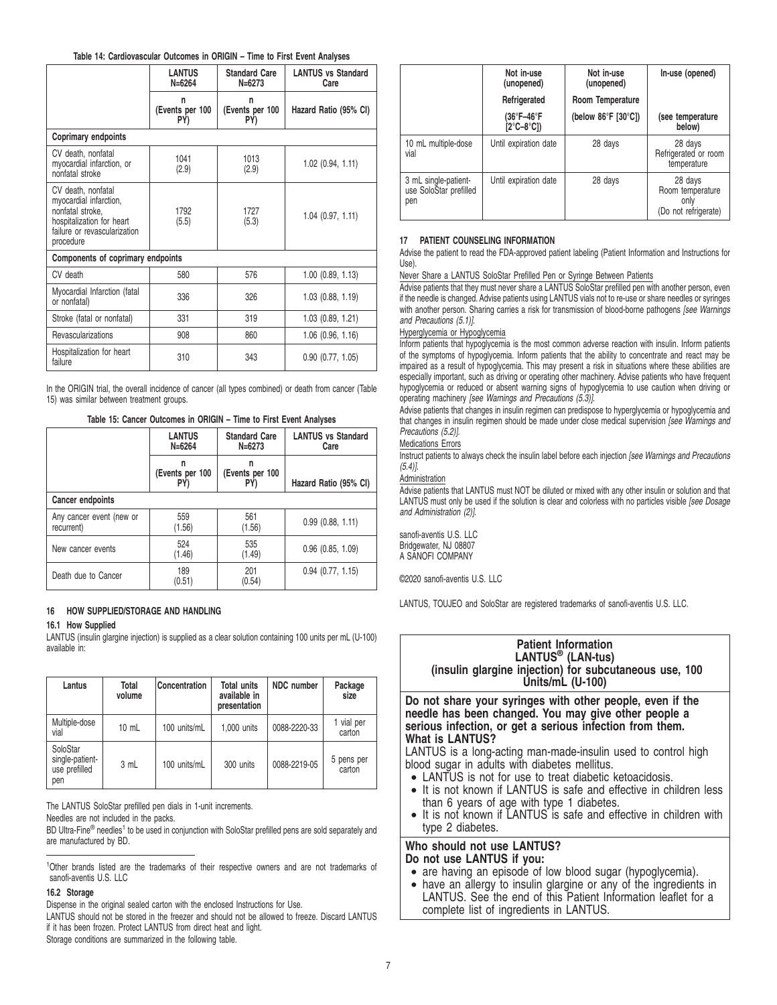## **Table 14: Cardiovascular Outcomes in ORIGIN – Time to First Event Analyses**

|                                                                                                                                            | <b>LANTUS</b><br>$N = 6264$ | <b>Standard Care</b><br>$N = 6273$ | <b>LANTUS vs Standard</b><br>Care |
|--------------------------------------------------------------------------------------------------------------------------------------------|-----------------------------|------------------------------------|-----------------------------------|
|                                                                                                                                            | n<br>(Events per 100<br>PY) | n<br>(Events per 100<br>PY)        | Hazard Ratio (95% CI)             |
| Coprimary endpoints                                                                                                                        |                             |                                    |                                   |
| CV death, nonfatal<br>myocardial infarction, or<br>nonfatal stroke                                                                         | 1041<br>(2.9)               | 1013<br>(2.9)                      | $1.02$ $(0.94, 1.11)$             |
| CV death, nonfatal<br>myocardial infarction,<br>nonfatal stroke.<br>hospitalization for heart<br>failure or revascularization<br>procedure | 1792<br>(5.5)               | 1727<br>(5.3)                      | $1.04$ $(0.97, 1.11)$             |
| Components of coprimary endpoints                                                                                                          |                             |                                    |                                   |
| CV death                                                                                                                                   | 580                         | 576                                | $1.00$ $(0.89, 1.13)$             |
| Myocardial Infarction (fatal<br>or nonfatal)                                                                                               | 336                         | 326                                | 1.03 (0.88, 1.19)                 |
| Stroke (fatal or nonfatal)                                                                                                                 | 331                         | 319                                | $1.03$ $(0.89, 1.21)$             |
| Revascularizations                                                                                                                         | 908                         | 860                                | $1.06$ (0.96, 1.16)               |
| Hospitalization for heart<br>failure                                                                                                       | 310                         | 343                                | $0.90$ $(0.77, 1.05)$             |

In the ORIGIN trial, the overall incidence of cancer (all types combined) or death from cancer (Table 15) was similar between treatment groups.

# **Table 15: Cancer Outcomes in ORIGIN – Time to First Event Analyses**

|                                        | <b>LANTUS</b><br><b>Standard Care</b><br>$N = 6264$<br>$N = 6273$ |                             | <b>LANTUS vs Standard</b><br>Care |  |  |  |  |  |
|----------------------------------------|-------------------------------------------------------------------|-----------------------------|-----------------------------------|--|--|--|--|--|
|                                        | (Events per 100<br>PY)                                            | n<br>(Events per 100<br>PY) | Hazard Ratio (95% CI)             |  |  |  |  |  |
| Cancer endpoints                       |                                                                   |                             |                                   |  |  |  |  |  |
| Any cancer event (new or<br>recurrent) | 559<br>(1.56)                                                     | 561<br>(1.56)               | $0.99$ $(0.88, 1.11)$             |  |  |  |  |  |
| New cancer events                      | 524<br>(1.46)                                                     | 535<br>(1.49)               | $0.96$ $(0.85, 1.09)$             |  |  |  |  |  |
| Death due to Cancer                    | 189<br>(0.51)                                                     | 201<br>(0.54)               | $0.94$ $(0.77, 1.15)$             |  |  |  |  |  |

## **16 HOW SUPPLIED/STORAGE AND HANDLING**

## **16.1 How Supplied**

LANTUS (insulin glargine injection) is supplied as a clear solution containing 100 units per mL (U-100) available in:

| Lantus                                              | Total<br>volume | <b>Concentration</b> | <b>Total units</b><br>available in<br>presentation | NDC number   | Package<br>size      |
|-----------------------------------------------------|-----------------|----------------------|----------------------------------------------------|--------------|----------------------|
| Multiple-dose<br>vial                               | $10 \text{ mL}$ | 100 units/mL         | 1,000 units                                        | 0088-2220-33 | 1 vial per<br>carton |
| SoloStar<br>single-patient-<br>use prefilled<br>pen | 3 mL            | 100 units/mL         | 300 units                                          | 0088-2219-05 | 5 pens per<br>carton |

The LANTUS SoloStar prefilled pen dials in 1-unit increments.

Needles are not included in the packs.

BD Ultra-Fine<sup>®</sup> needles<sup>1</sup> to be used in conjunction with SoloStar prefilled pens are sold separately and are manufactured by BD.

<sup>1</sup>Other brands listed are the trademarks of their respective owners and are not trademarks of sanofi-aventis U.S. LLC

## **16.2 Storage**

Dispense in the original sealed carton with the enclosed Instructions for Use.

LANTUS should not be stored in the freezer and should not be allowed to freeze. Discard LANTUS if it has been frozen. Protect LANTUS from direct heat and light.

Storage conditions are summarized in the following table.

|                                                       | Not in-use<br>(unopened)<br>Refrigerated  | Not in-use<br>(unopened)<br>Room Temperature | In-use (opened)                                             |
|-------------------------------------------------------|-------------------------------------------|----------------------------------------------|-------------------------------------------------------------|
|                                                       | (36°F-46°F<br>$[2^{\circ}C - 8^{\circ}C]$ | (below $86^{\circ}$ F [30 $^{\circ}$ C])     | (see temperature<br>below)                                  |
| 10 mL multiple-dose<br>vial                           | Until expiration date                     | 28 days                                      | 28 days<br>Refrigerated or room<br>temperature              |
| 3 mL single-patient-<br>use SoloStar prefilled<br>pen | Until expiration date                     | 28 days                                      | 28 days<br>Room temperature<br>only<br>(Do not refrigerate) |

## **17 PATIENT COUNSELING INFORMATION**

Advise the patient to read the FDA-approved patient labeling (Patient Information and Instructions for Use).

## Never Share a LANTUS SoloStar Prefilled Pen or Syringe Between Patients

Advise patients that they must never share a LANTUS SoloStar prefilled pen with another person, even if the needle is changed. Advise patients using LANTUS vials not to re-use or share needles or syringes with another person. Sharing carries a risk for transmission of blood-borne pathogens [see Warnings and Precautions (5.1)].

## Hyperglycemia or Hypoglycemia

Inform patients that hypoglycemia is the most common adverse reaction with insulin. Inform patients of the symptoms of hypoglycemia. Inform patients that the ability to concentrate and react may be impaired as a result of hypoglycemia. This may present a risk in situations where these abilities are especially important, such as driving or operating other machinery. Advise patients who have frequent hypoglycemia or reduced or absent warning signs of hypoglycemia to use caution when driving or operating machinery [see Warnings and Precautions (5.3)].

Advise patients that changes in insulin regimen can predispose to hyperglycemia or hypoglycemia and that changes in insulin regimen should be made under close medical supervision [see Warnings and Precautions (5.2)].

## Medications Errors

Instruct patients to always check the insulin label before each injection [see Warnings and Precautions  $(5.4)$ ].

### Administration

Advise patients that LANTUS must NOT be diluted or mixed with any other insulin or solution and that LANTUS must only be used if the solution is clear and colorless with no particles visible [see Dosage and Administration (2)].

sanofi-aventis U.S. LLC Bridgewater, NJ 08807 A SANOFI COMPANY

©2020 sanofi-aventis U.S. LLC

LANTUS, TOUJEO and SoloStar are registered trademarks of sanofi-aventis U.S. LLC.

# **Patient Information LANTUS® (LAN-tus) (insulin glargine injection) for subcutaneous use, 100 Units/mL (U-100)**

**Do not share your syringes with other people, even if the needle has been changed. You may give other people a serious infection, or get a serious infection from them. What is LANTUS?**

LANTUS is a long-acting man-made-insulin used to control high blood sugar in adults with diabetes mellitus.

- LANTUS is not for use to treat diabetic ketoacidosis.
- It is not known if LANTUS is safe and effective in children less than 6 years of age with type 1 diabetes.
- It is not known if LANTUS is safe and effective in children with type 2 diabetes.

## **Who should not use LANTUS? Do not use LANTUS if you:**

- are having an episode of low blood sugar (hypoglycemia).
- have an allergy to insulin glargine or any of the ingredients in LANTUS. See the end of this Patient Information leaflet for a complete list of ingredients in LANTUS.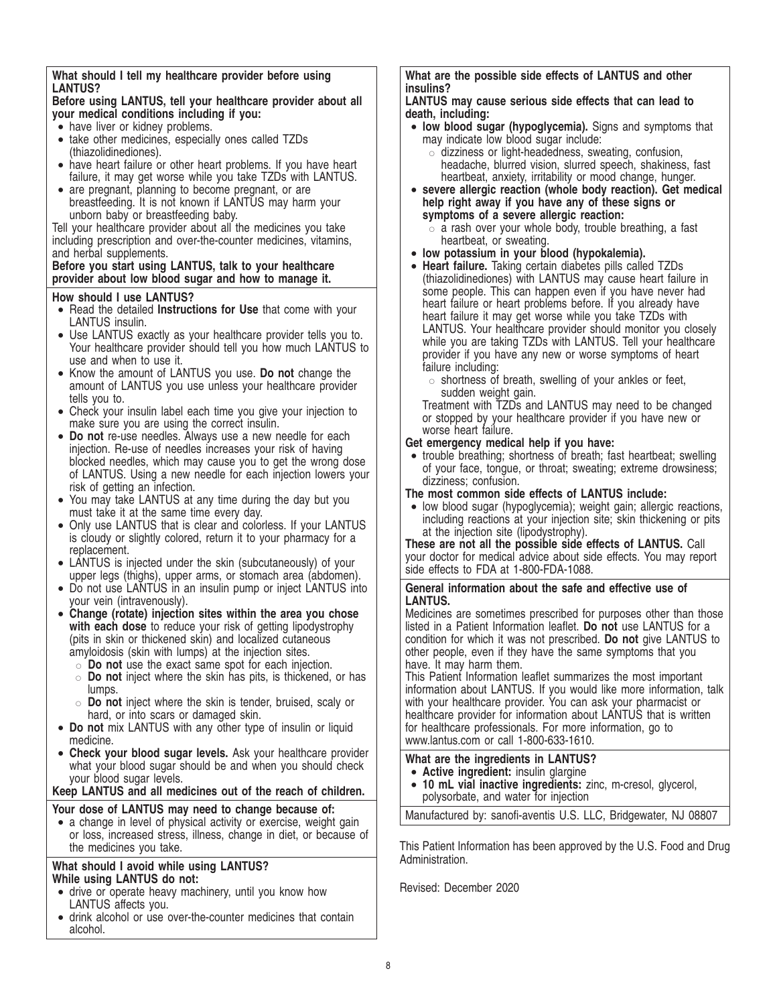# **What should I tell my healthcare provider before using LANTUS?**

# **Before using LANTUS, tell your healthcare provider about all your medical conditions including if you:**

- have liver or kidney problems.
- take other medicines, especially ones called TZDs (thiazolidinediones).
- have heart failure or other heart problems. If you have heart failure, it may get worse while you take TZDs with LANTUS.
- are pregnant, planning to become pregnant, or are breastfeeding. It is not known if LANTUS may harm your unborn baby or breastfeeding baby.

Tell your healthcare provider about all the medicines you take including prescription and over-the-counter medicines, vitamins, and herbal supplements.

## **Before you start using LANTUS, talk to your healthcare provider about low blood sugar and how to manage it.**

# **How should I use LANTUS?**

- Read the detailed **Instructions for Use** that come with your LANTUS insulin.
- Use LANTUS exactly as your healthcare provider tells you to. Your healthcare provider should tell you how much LANTUS to use and when to use it.
- Know the amount of LANTUS you use. **Do not** change the amount of LANTUS you use unless your healthcare provider tells you to.
- Check your insulin label each time you give your injection to make sure you are using the correct insulin.
- **Do not** re-use needles. Always use a new needle for each injection. Re-use of needles increases your risk of having blocked needles, which may cause you to get the wrong dose of LANTUS. Using a new needle for each injection lowers your risk of getting an infection.
- You may take LANTUS at any time during the day but you must take it at the same time every day.
- Only use LANTUS that is clear and colorless. If your LANTUS is cloudy or slightly colored, return it to your pharmacy for a replacement.
- LANTUS is injected under the skin (subcutaneously) of your upper legs (thighs), upper arms, or stomach area (abdomen).
- Do not use LANTUS in an insulin pump or inject LANTUS into your vein (intravenously).
- **Change (rotate) injection sites within the area you chose** with each dose to reduce your risk of getting lipodystrophy (pits in skin or thickened skin) and localized cutaneous amyloidosis (skin with lumps) at the injection sites.
	- $\circ$  **Do not** use the exact same spot for each injection.
	- " **Do not** inject where the skin has pits, is thickened, or has lumps.
	- " **Do not** inject where the skin is tender, bruised, scaly or hard, or into scars or damaged skin.
- **Do not** mix LANTUS with any other type of insulin or liquid medicine.
- **Check your blood sugar levels.** Ask your healthcare provider what your blood sugar should be and when you should check your blood sugar levels.

**Keep LANTUS and all medicines out of the reach of children.**

# **Your dose of LANTUS may need to change because of:**

• a change in level of physical activity or exercise, weight gain or loss, increased stress, illness, change in diet, or because of the medicines you take.

# **What should I avoid while using LANTUS? While using LANTUS do not:**

- drive or operate heavy machinery, until you know how LANTUS affects you.
- drink alcohol or use over-the-counter medicines that contain alcohol.

**What are the possible side effects of LANTUS and other insulins?**

# **LANTUS may cause serious side effects that can lead to death, including:**

- **low blood sugar (hypoglycemia).** Signs and symptoms that may indicate low blood sugar include:
	- $\circ$  dizziness or light-headedness, sweating, confusion, headache, blurred vision, slurred speech, shakiness, fast heartbeat, anxiety, irritability or mood change, hunger.
- **severe allergic reaction (whole body reaction). Get medical help right away if you have any of these signs or symptoms of a severe allergic reaction:**
	- $\circ$  a rash over your whole body, trouble breathing, a fast heartbeat, or sweating.
- **low potassium in your blood (hypokalemia).**
- **Heart failure.** Taking certain diabetes pills called TZDs (thiazolidinediones) with LANTUS may cause heart failure in some people. This can happen even if you have never had heart failure or heart problems before. If you already have heart failure it may get worse while you take TZDs with LANTUS. Your healthcare provider should monitor you closely while you are taking TZDs with LANTUS. Tell your healthcare provider if you have any new or worse symptoms of heart failure including:
	- $\circ$  shortness of breath, swelling of your ankles or feet, sudden weight gain.

Treatment with TZDs and LANTUS may need to be changed or stopped by your healthcare provider if you have new or worse heart failure.

# **Get emergency medical help if you have:**

• trouble breathing; shortness of breath; fast heartbeat; swelling of your face, tongue, or throat; sweating; extreme drowsiness; dizziness; confusion.

# **The most common side effects of LANTUS include:**

• low blood sugar (hypoglycemia); weight gain; allergic reactions, including reactions at your injection site; skin thickening or pits at the injection site (lipodystrophy).

**These are not all the possible side effects of LANTUS.** Call your doctor for medical advice about side effects. You may report side effects to FDA at 1-800-FDA-1088.

# **General information about the safe and effective use of LANTUS.**

Medicines are sometimes prescribed for purposes other than those listed in a Patient Information leaflet. **Do not** use LANTUS for a condition for which it was not prescribed. **Do not** give LANTUS to other people, even if they have the same symptoms that you have. It may harm them.

This Patient Information leaflet summarizes the most important information about LANTUS. If you would like more information, talk with your healthcare provider. You can ask your pharmacist or healthcare provider for information about LANTUS that is written for healthcare professionals. For more information, go to www.lantus.com or call 1-800-633-1610.

# **What are the ingredients in LANTUS?**

- **Active ingredient:** insulin glargine
- **10 mL vial inactive ingredients:** zinc, m-cresol, glycerol, polysorbate, and water for injection

Manufactured by: sanofi-aventis U.S. LLC, Bridgewater, NJ 08807

This Patient Information has been approved by the U.S. Food and Drug Administration.

Revised: December 2020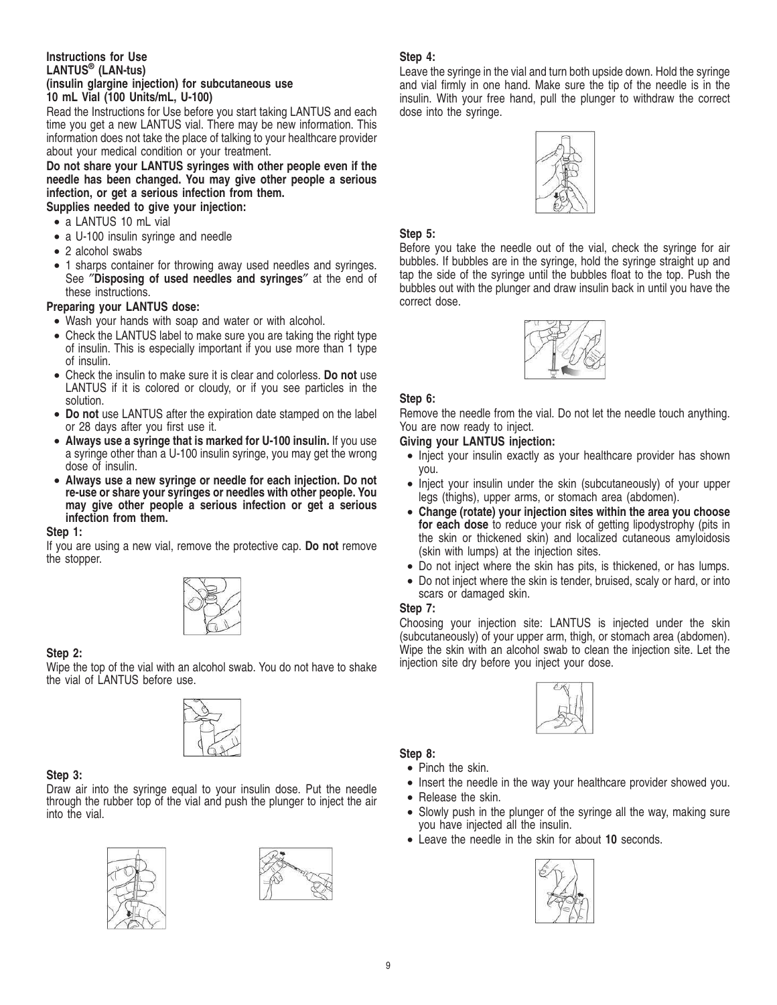## **Instructions for Use LANTUS® (LAN-tus) (insulin glargine injection) for subcutaneous use 10 mL Vial (100 Units/mL, U-100)**

Read the Instructions for Use before you start taking LANTUS and each time you get a new LANTUS vial. There may be new information. This information does not take the place of talking to your healthcare provider about your medical condition or your treatment.

**Do not share your LANTUS syringes with other people even if the needle has been changed. You may give other people a serious infection, or get a serious infection from them.**

- **Supplies needed to give your injection:**
- a LANTUS 10 mL vial
- a U-100 insulin syringe and needle
- 2 alcohol swabs
- 1 sharps container for throwing away used needles and syringes. See ″**Disposing of used needles and syringes**″ at the end of these instructions.

# **Preparing your LANTUS dose:**

- Wash your hands with soap and water or with alcohol.
- Check the LANTUS label to make sure you are taking the right type of insulin. This is especially important if you use more than 1 type of insulin.
- Check the insulin to make sure it is clear and colorless. **Do not** use LANTUS if it is colored or cloudy, or if you see particles in the solution.
- **Do not** use LANTUS after the expiration date stamped on the label or 28 days after you first use it.
- **Always use a syringe that is marked for U-100 insulin.** If you use a syringe other than a U-100 insulin syringe, you may get the wrong dose of insulin.
- **Always use a new syringe or needle for each injection. Do not re-use or share your syringes or needles with other people. You may give other people a serious infection or get a serious infection from them.**

# **Step 1:**

If you are using a new vial, remove the protective cap. **Do not** remove the stopper.



# **Step 2:**

Wipe the top of the vial with an alcohol swab. You do not have to shake the vial of LANTUS before use.



# **Step 3:**

Draw air into the syringe equal to your insulin dose. Put the needle through the rubber top of the vial and push the plunger to inject the air into the vial.





# **Step 4:**

Leave the syringe in the vial and turn both upside down. Hold the syringe and vial firmly in one hand. Make sure the tip of the needle is in the insulin. With your free hand, pull the plunger to withdraw the correct dose into the syringe.



# **Step 5:**

Before you take the needle out of the vial, check the syringe for air bubbles. If bubbles are in the syringe, hold the syringe straight up and tap the side of the syringe until the bubbles float to the top. Push the bubbles out with the plunger and draw insulin back in until you have the correct dose.



# **Step 6:**

Remove the needle from the vial. Do not let the needle touch anything. You are now ready to inject.

# **Giving your LANTUS injection:**

- Inject your insulin exactly as your healthcare provider has shown you.
- Inject your insulin under the skin (subcutaneously) of your upper legs (thighs), upper arms, or stomach area (abdomen).
- **Change (rotate) your injection sites within the area you choose for each dose** to reduce your risk of getting lipodystrophy (pits in the skin or thickened skin) and localized cutaneous amyloidosis (skin with lumps) at the injection sites.
- Do not inject where the skin has pits, is thickened, or has lumps.
- Do not inject where the skin is tender, bruised, scaly or hard, or into scars or damaged skin.

# **Step 7:**

Choosing your injection site: LANTUS is injected under the skin (subcutaneously) of your upper arm, thigh, or stomach area (abdomen). Wipe the skin with an alcohol swab to clean the injection site. Let the injection site dry before you inject your dose.



# **Step 8:**

- Pinch the skin.
- Insert the needle in the way your healthcare provider showed you.
- Release the skin.
- Slowly push in the plunger of the syringe all the way, making sure you have injected all the insulin.
- Leave the needle in the skin for about **10** seconds.

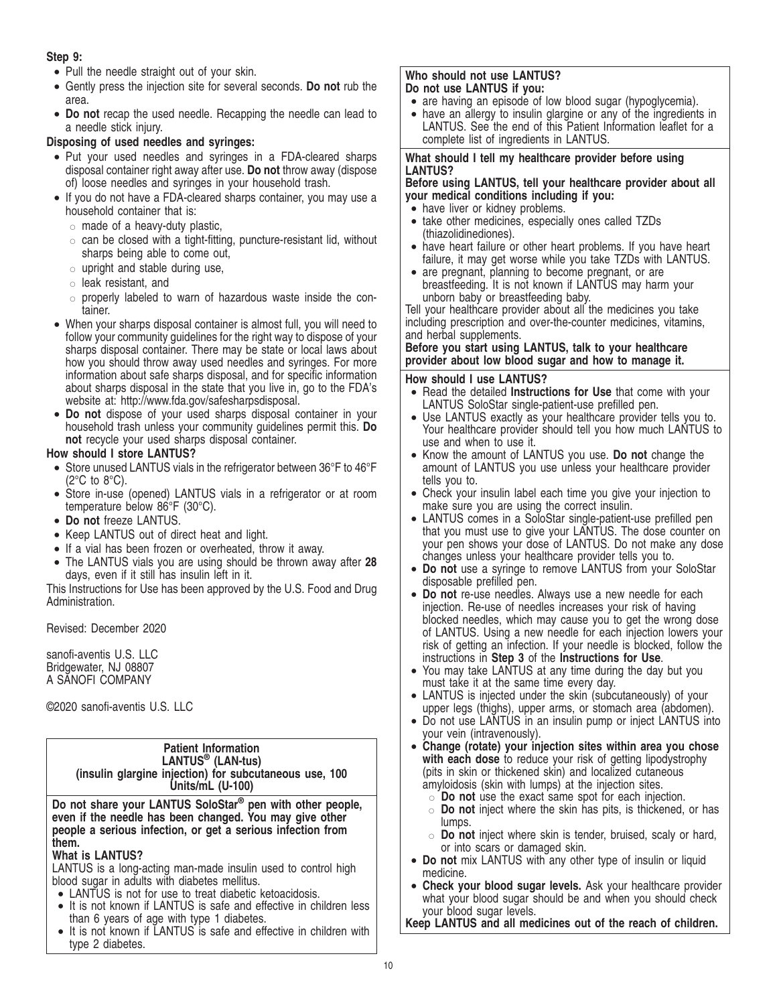# **Step 9:**

- Pull the needle straight out of your skin.
- Gently press the injection site for several seconds. **Do not** rub the area.
- **Do not** recap the used needle. Recapping the needle can lead to a needle stick injury.

# **Disposing of used needles and syringes:**

- Put your used needles and syringes in a FDA-cleared sharps disposal container right away after use. **Do not** throw away (dispose of) loose needles and syringes in your household trash.
- If you do not have a FDA-cleared sharps container, you may use a household container that is:
	- $\circ$  made of a heavy-duty plastic,
	- $\circ$  can be closed with a tight-fitting, puncture-resistant lid, without sharps being able to come out,
	- $\circ$  upright and stable during use,
	- $\circ$  leak resistant, and
	- $\circ$  properly labeled to warn of hazardous waste inside the container.
- When your sharps disposal container is almost full, you will need to follow your community guidelines for the right way to dispose of your sharps disposal container. There may be state or local laws about how you should throw away used needles and syringes. For more information about safe sharps disposal, and for specific information about sharps disposal in the state that you live in, go to the FDA's website at: http://www.fda.gov/safesharpsdisposal.
- **Do not** dispose of your used sharps disposal container in your household trash unless your community guidelines permit this. **Do not** recycle your used sharps disposal container.

# **How should I store LANTUS?**

- Store unused LANTUS vials in the refrigerator between 36°F to 46°F  $(2^{\circ}C$  to  $8^{\circ}C)$ .
- Store in-use (opened) LANTUS vials in a refrigerator or at room temperature below 86°F (30°C).
- **Do not** freeze LANTUS.
- Keep LANTUS out of direct heat and light.
- If a vial has been frozen or overheated, throw it away.
- The LANTUS vials you are using should be thrown away after **28** days, even if it still has insulin left in it.

This Instructions for Use has been approved by the U.S. Food and Drug Administration.

Revised: December 2020

sanofi-aventis U.S. LLC Bridgewater, NJ 08807 A SANOFI COMPANY

©2020 sanofi-aventis U.S. LLC

| <b>Patient Information</b><br>LANTUS <sup>®</sup> (LAN-tus)<br>(insulin glargine injection) for subcutaneous use, 100<br>Units/mL (U-100)                                                                |
|----------------------------------------------------------------------------------------------------------------------------------------------------------------------------------------------------------|
| Do not share your LANTUS SoloStar <sup>®</sup> pen with other people,<br>even if the needle has been changed. You may give other<br>people a serious infection, or get a serious infection from<br>them. |
| <b>What is LANTUS?</b>                                                                                                                                                                                   |
| LANTUS is a long-acting man-made insulin used to control high                                                                                                                                            |
| blood sugar in adults with diabetes mellitus.                                                                                                                                                            |
| • LANTUS is not for use to treat diabetic ketoacidosis.                                                                                                                                                  |
| • It is not known if LANTUS is safe and effective in children less                                                                                                                                       |
| than 6 years of age with type 1 diabetes.<br>$\bullet$ It is not known if LANTLIS is safe and offective in children with                                                                                 |
|                                                                                                                                                                                                          |

is not known if LANTUS is safe and effective in children with type 2 diabetes.

# **Who should not use LANTUS? Do not use LANTUS if you:**

- are having an episode of low blood sugar (hypoglycemia).
- have an allergy to insulin glargine or any of the ingredients in LANTUS. See the end of this Patient Information leaflet for a complete list of ingredients in LANTUS.

# **What should I tell my healthcare provider before using LANTUS?**

# **Before using LANTUS, tell your healthcare provider about all your medical conditions including if you:**

- have liver or kidney problems.
- take other medicines, especially ones called TZDs (thiazolidinediones).
- have heart failure or other heart problems. If you have heart failure, it may get worse while you take TZDs with LANTUS.
- are pregnant, planning to become pregnant, or are breastfeeding. It is not known if LANTUS may harm your unborn baby or breastfeeding baby.

Tell your healthcare provider about all the medicines you take including prescription and over-the-counter medicines, vitamins, and herbal supplements.

# **Before you start using LANTUS, talk to your healthcare provider about low blood sugar and how to manage it.**

# **How should I use LANTUS?**

- Read the detailed **Instructions for Use** that come with your LANTUS SoloStar single-patient-use prefilled pen.
- Use LANTUS exactly as your healthcare provider tells you to. Your healthcare provider should tell you how much LANTUS to use and when to use it.
- Know the amount of LANTUS you use. **Do not** change the amount of LANTUS you use unless your healthcare provider tells you to.
- Check your insulin label each time you give your injection to make sure you are using the correct insulin.
- LANTUS comes in a SoloStar single-patient-use prefilled pen that you must use to give your LANTUS. The dose counter on your pen shows your dose of LANTUS. Do not make any dose changes unless your healthcare provider tells you to.
- **Do not** use a syringe to remove LANTUS from your SoloStar disposable prefilled pen.
- **Do not** re-use needles. Always use a new needle for each injection. Re-use of needles increases your risk of having blocked needles, which may cause you to get the wrong dose of LANTUS. Using a new needle for each injection lowers your risk of getting an infection. If your needle is blocked, follow the instructions in **Step 3** of the **Instructions for Use**.
- You may take LANTUS at any time during the day but you must take it at the same time every day.
- LANTUS is injected under the skin (subcutaneously) of your upper legs (thighs), upper arms, or stomach area (abdomen).
- Do not use LANTUS in an insulin pump or inject LANTUS into your vein (intravenously).
- **Change (rotate) your injection sites within area you chose** with each dose to reduce your risk of getting lipodystrophy (pits in skin or thickened skin) and localized cutaneous amyloidosis (skin with lumps) at the injection sites.
	- $\circ$  **Do not** use the exact same spot for each injection.
	- " **Do not** inject where the skin has pits, is thickened, or has lumps.
	- $\circ$  **Do not** inject where skin is tender, bruised, scaly or hard, or into scars or damaged skin.
- **Do not** mix LANTUS with any other type of insulin or liquid medicine.
- **Check your blood sugar levels.** Ask your healthcare provider what your blood sugar should be and when you should check your blood sugar levels.

**Keep LANTUS and all medicines out of the reach of children.**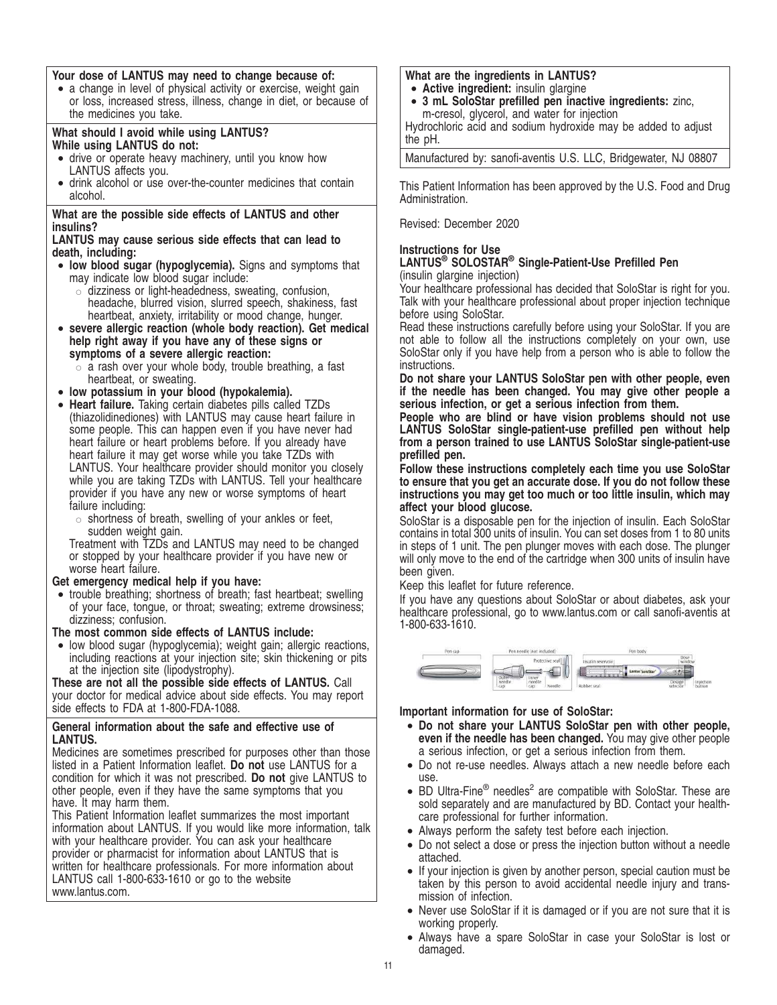# **Your dose of LANTUS may need to change because of:**

• a change in level of physical activity or exercise, weight gain or loss, increased stress, illness, change in diet, or because of the medicines you take.

## **What should I avoid while using LANTUS? While using LANTUS do not:**

- drive or operate heavy machinery, until you know how LANTUS affects you.
- drink alcohol or use over-the-counter medicines that contain alcohol.

# **What are the possible side effects of LANTUS and other insulins?**

## **LANTUS may cause serious side effects that can lead to death, including:**

- **low blood sugar (hypoglycemia).** Signs and symptoms that may indicate low blood sugar include:
	- $\circ$  dizziness or light-headedness, sweating, confusion, headache, blurred vision, slurred speech, shakiness, fast heartbeat, anxiety, irritability or mood change, hunger.
- **severe allergic reaction (whole body reaction). Get medical help right away if you have any of these signs or symptoms of a severe allergic reaction:**
	- $\circ$  a rash over your whole body, trouble breathing, a fast heartbeat, or sweating.
- **low potassium in your blood (hypokalemia).**
- **Heart failure.** Taking certain diabetes pills called TZDs (thiazolidinediones) with LANTUS may cause heart failure in some people. This can happen even if you have never had heart failure or heart problems before. If you already have heart failure it may get worse while you take TZDs with LANTUS. Your healthcare provider should monitor you closely while you are taking TZDs with LANTUS. Tell your healthcare provider if you have any new or worse symptoms of heart failure including:
	- $\circ$  shortness of breath, swelling of your ankles or feet, sudden weight gain.

Treatment with TZDs and LANTUS may need to be changed or stopped by your healthcare provider if you have new or worse heart failure.

# **Get emergency medical help if you have:**

• trouble breathing; shortness of breath; fast heartbeat; swelling of your face, tongue, or throat; sweating; extreme drowsiness; dizziness; confusion.

**The most common side effects of LANTUS include:**

• low blood sugar (hypoglycemia); weight gain; allergic reactions, including reactions at your injection site; skin thickening or pits at the injection site (lipodystrophy).

**These are not all the possible side effects of LANTUS.** Call your doctor for medical advice about side effects. You may report side effects to FDA at 1-800-FDA-1088.

# **General information about the safe and effective use of LANTUS.**

Medicines are sometimes prescribed for purposes other than those listed in a Patient Information leaflet. **Do not** use LANTUS for a condition for which it was not prescribed. **Do not** give LANTUS to other people, even if they have the same symptoms that you have. It may harm them.

This Patient Information leaflet summarizes the most important information about LANTUS. If you would like more information, talk with your healthcare provider. You can ask your healthcare provider or pharmacist for information about LANTUS that is written for healthcare professionals. For more information about LANTUS call 1-800-633-1610 or go to the website www.lantus.com.

# **What are the ingredients in LANTUS?**

- **Active ingredient:** insulin glargine
- **3 mL SoloStar prefilled pen inactive ingredients:** zinc, m-cresol, glycerol, and water for injection

Hydrochloric acid and sodium hydroxide may be added to adjust the pH.

Manufactured by: sanofi-aventis U.S. LLC, Bridgewater, NJ 08807

This Patient Information has been approved by the U.S. Food and Drug Administration.

Revised: December 2020

# **Instructions for Use**

# **LANTUS® SOLOSTAR® Single-Patient-Use Prefilled Pen** (insulin glargine injection)

Your healthcare professional has decided that SoloStar is right for you. Talk with your healthcare professional about proper injection technique before using SoloStar.

Read these instructions carefully before using your SoloStar. If you are not able to follow all the instructions completely on your own, use SoloStar only if you have help from a person who is able to follow the instructions.

**Do not share your LANTUS SoloStar pen with other people, even if the needle has been changed. You may give other people a serious infection, or get a serious infection from them.**

**People who are blind or have vision problems should not use LANTUS SoloStar single-patient-use prefilled pen without help from a person trained to use LANTUS SoloStar single-patient-use prefilled pen.**

**Follow these instructions completely each time you use SoloStar to ensure that you get an accurate dose. If you do not follow these instructions you may get too much or too little insulin, which may affect your blood glucose.**

SoloStar is a disposable pen for the injection of insulin. Each SoloStar contains in total 300 units of insulin. You can set doses from 1 to 80 units in steps of 1 unit. The pen plunger moves with each dose. The plunger will only move to the end of the cartridge when 300 units of insulin have been given.

Keep this leaflet for future reference.

If you have any questions about SoloStar or about diabetes, ask your healthcare professional, go to www.lantus.com or call sanofi-aventis at 1-800-633-1610.



**Important information for use of SoloStar:**

- **Do not share your LANTUS SoloStar pen with other people, even if the needle has been changed.** You may give other people a serious infection, or get a serious infection from them.
- Do not re-use needles. Always attach a new needle before each use.
- BD Ultra-Fine® needles<sup>2</sup> are compatible with SoloStar. These are sold separately and are manufactured by BD. Contact your healthcare professional for further information.
- Always perform the safety test before each injection.
- Do not select a dose or press the injection button without a needle attached.
- If your injection is given by another person, special caution must be taken by this person to avoid accidental needle injury and transmission of infection.
- Never use SoloStar if it is damaged or if you are not sure that it is working properly.
- Always have a spare SoloStar in case your SoloStar is lost or damaged.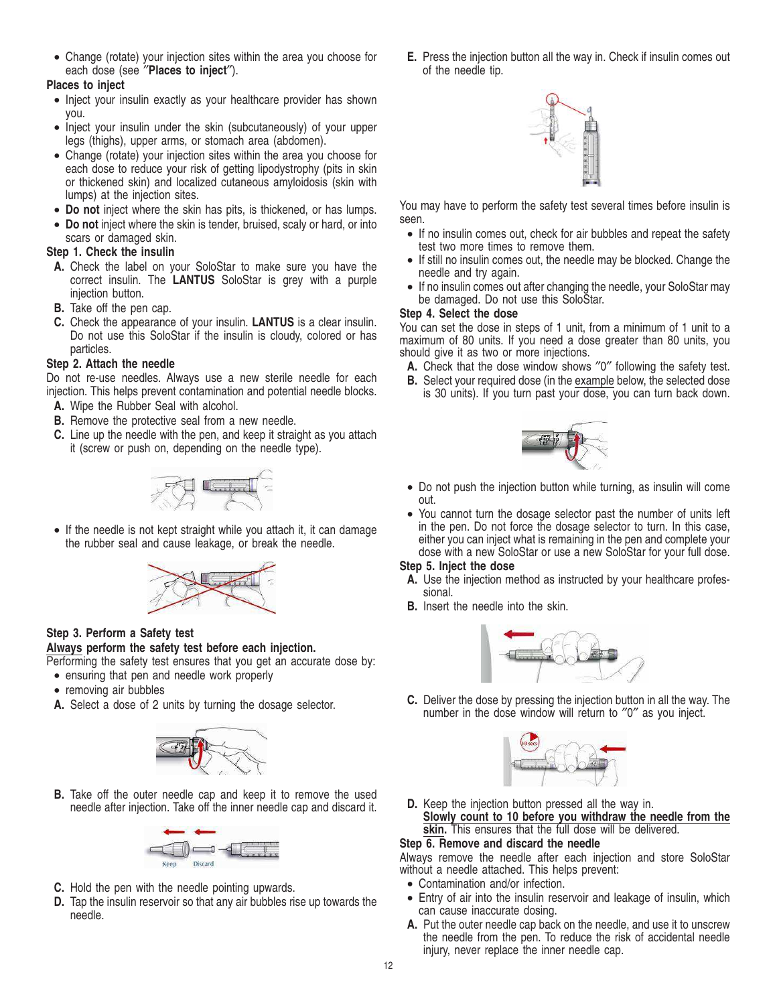• Change (rotate) your injection sites within the area you choose for each dose (see ″**Places to inject**″).

# **Places to inject**

- Inject your insulin exactly as your healthcare provider has shown you.
- Inject your insulin under the skin (subcutaneously) of your upper legs (thighs), upper arms, or stomach area (abdomen).
- Change (rotate) your injection sites within the area you choose for each dose to reduce your risk of getting lipodystrophy (pits in skin or thickened skin) and localized cutaneous amyloidosis (skin with lumps) at the injection sites.
- **Do not** inject where the skin has pits, is thickened, or has lumps.
- **Do not** inject where the skin is tender, bruised, scaly or hard, or into scars or damaged skin.

# **Step 1. Check the insulin**

- **A.** Check the label on your SoloStar to make sure you have the correct insulin. The **LANTUS** SoloStar is grey with a purple injection button.
- **B.** Take off the pen cap.
- **C.** Check the appearance of your insulin. **LANTUS** is a clear insulin. Do not use this SoloStar if the insulin is cloudy, colored or has particles.

# **Step 2. Attach the needle**

Do not re-use needles. Always use a new sterile needle for each injection. This helps prevent contamination and potential needle blocks.

- **A.** Wipe the Rubber Seal with alcohol.
- **B.** Remove the protective seal from a new needle.
- **C.** Line up the needle with the pen, and keep it straight as you attach it (screw or push on, depending on the needle type).



• If the needle is not kept straight while you attach it, it can damage the rubber seal and cause leakage, or break the needle.



# **Step 3. Perform a Safety test**

# **Always perform the safety test before each injection.**

Performing the safety test ensures that you get an accurate dose by:

- ensuring that pen and needle work properly
- removing air bubbles
- **A.** Select a dose of 2 units by turning the dosage selector.



**B.** Take off the outer needle cap and keep it to remove the used needle after injection. Take off the inner needle cap and discard it.



- **C.** Hold the pen with the needle pointing upwards.
- **D.** Tap the insulin reservoir so that any air bubbles rise up towards the needle.

**E.** Press the injection button all the way in. Check if insulin comes out of the needle tip.



You may have to perform the safety test several times before insulin is seen.

- If no insulin comes out, check for air bubbles and repeat the safety test two more times to remove them.
- If still no insulin comes out, the needle may be blocked. Change the needle and try again.
- If no insulin comes out after changing the needle, your SoloStar may be damaged. Do not use this SoloStar.

# **Step 4. Select the dose**

You can set the dose in steps of 1 unit, from a minimum of 1 unit to a maximum of 80 units. If you need a dose greater than 80 units, you should give it as two or more injections.

- **A.** Check that the dose window shows ″0″ following the safety test.
- **B.** Select your required dose (in the example below, the selected dose is 30 units). If you turn past your dose, you can turn back down.



- Do not push the injection button while turning, as insulin will come out.
- You cannot turn the dosage selector past the number of units left in the pen. Do not force the dosage selector to turn. In this case, either you can inject what is remaining in the pen and complete your dose with a new SoloStar or use a new SoloStar for your full dose.

# **Step 5. Inject the dose**

- **A.** Use the injection method as instructed by your healthcare professional.
- **B.** Insert the needle into the skin.



**C.** Deliver the dose by pressing the injection button in all the way. The number in the dose window will return to ″0″ as you inject.



**D.** Keep the injection button pressed all the way in. **Slowly count to 10 before you withdraw the needle from the skin.** This ensures that the full dose will be delivered.

# **Step 6. Remove and discard the needle**

Always remove the needle after each injection and store SoloStar without a needle attached. This helps prevent:

- Contamination and/or infection.
- Entry of air into the insulin reservoir and leakage of insulin, which can cause inaccurate dosing.
- **A.** Put the outer needle cap back on the needle, and use it to unscrew the needle from the pen. To reduce the risk of accidental needle injury, never replace the inner needle cap.